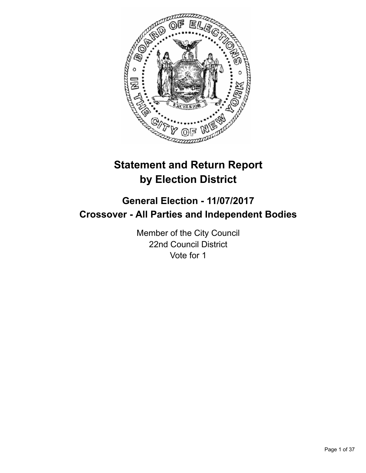

# **Statement and Return Report by Election District**

# **General Election - 11/07/2017 Crossover - All Parties and Independent Bodies**

Member of the City Council 22nd Council District Vote for 1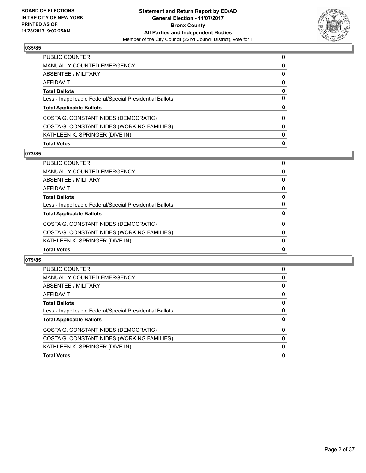

| <b>PUBLIC COUNTER</b>                                    | 0 |
|----------------------------------------------------------|---|
| <b>MANUALLY COUNTED EMERGENCY</b>                        | 0 |
| ABSENTEE / MILITARY                                      | 0 |
| AFFIDAVIT                                                | 0 |
| <b>Total Ballots</b>                                     | 0 |
| Less - Inapplicable Federal/Special Presidential Ballots | 0 |
| <b>Total Applicable Ballots</b>                          | 0 |
| COSTA G. CONSTANTINIDES (DEMOCRATIC)                     | 0 |
| COSTA G. CONSTANTINIDES (WORKING FAMILIES)               | 0 |
| KATHLEEN K. SPRINGER (DIVE IN)                           | 0 |
| <b>Total Votes</b>                                       | 0 |

# **073/85**

| <b>PUBLIC COUNTER</b>                                    | 0            |
|----------------------------------------------------------|--------------|
| <b>MANUALLY COUNTED EMERGENCY</b>                        | 0            |
| <b>ABSENTEE / MILITARY</b>                               | 0            |
| <b>AFFIDAVIT</b>                                         | 0            |
| <b>Total Ballots</b>                                     | 0            |
| Less - Inapplicable Federal/Special Presidential Ballots | 0            |
| <b>Total Applicable Ballots</b>                          | 0            |
| COSTA G. CONSTANTINIDES (DEMOCRATIC)                     | $\mathbf{0}$ |
| COSTA G. CONSTANTINIDES (WORKING FAMILIES)               | 0            |
| KATHLEEN K. SPRINGER (DIVE IN)                           | $\mathbf{0}$ |
| <b>Total Votes</b>                                       | $\mathbf{0}$ |

| <b>PUBLIC COUNTER</b>                                    | 0 |
|----------------------------------------------------------|---|
| <b>MANUALLY COUNTED EMERGENCY</b>                        | 0 |
| ABSENTEE / MILITARY                                      | 0 |
| AFFIDAVIT                                                | 0 |
| <b>Total Ballots</b>                                     | 0 |
| Less - Inapplicable Federal/Special Presidential Ballots | 0 |
| <b>Total Applicable Ballots</b>                          | 0 |
| COSTA G. CONSTANTINIDES (DEMOCRATIC)                     | 0 |
| COSTA G. CONSTANTINIDES (WORKING FAMILIES)               | 0 |
| KATHLEEN K. SPRINGER (DIVE IN)                           | 0 |
| <b>Total Votes</b>                                       | 0 |
|                                                          |   |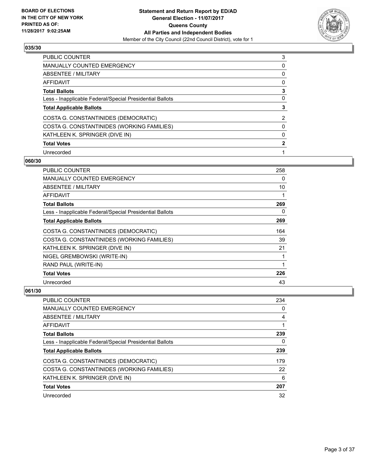

| <b>PUBLIC COUNTER</b>                                    | 3 |
|----------------------------------------------------------|---|
| MANUALLY COUNTED EMERGENCY                               | 0 |
| ABSENTEE / MILITARY                                      | 0 |
| AFFIDAVIT                                                | 0 |
| <b>Total Ballots</b>                                     | 3 |
| Less - Inapplicable Federal/Special Presidential Ballots | 0 |
| <b>Total Applicable Ballots</b>                          |   |
| COSTA G. CONSTANTINIDES (DEMOCRATIC)                     | 2 |
| COSTA G. CONSTANTINIDES (WORKING FAMILIES)               | 0 |
| KATHLEEN K. SPRINGER (DIVE IN)                           | 0 |
| <b>Total Votes</b>                                       | 2 |
| Unrecorded                                               |   |

#### **060/30**

| PUBLIC COUNTER                                           | 258 |
|----------------------------------------------------------|-----|
| MANUALLY COUNTED EMERGENCY                               | 0   |
| ABSENTEE / MILITARY                                      | 10  |
| AFFIDAVIT                                                | 1   |
| <b>Total Ballots</b>                                     | 269 |
| Less - Inapplicable Federal/Special Presidential Ballots | 0   |
| <b>Total Applicable Ballots</b>                          | 269 |
| COSTA G. CONSTANTINIDES (DEMOCRATIC)                     | 164 |
| COSTA G. CONSTANTINIDES (WORKING FAMILIES)               | 39  |
| KATHLEEN K. SPRINGER (DIVE IN)                           | 21  |
| NIGEL GREMBOWSKI (WRITE-IN)                              | 1   |
| RAND PAUL (WRITE-IN)                                     | 1   |
| <b>Total Votes</b>                                       | 226 |
| Unrecorded                                               | 43  |

| <b>PUBLIC COUNTER</b>                                    | 234 |
|----------------------------------------------------------|-----|
| MANUALLY COUNTED EMERGENCY                               | 0   |
| ABSENTEE / MILITARY                                      | 4   |
| AFFIDAVIT                                                |     |
| <b>Total Ballots</b>                                     | 239 |
| Less - Inapplicable Federal/Special Presidential Ballots | 0   |
| <b>Total Applicable Ballots</b>                          | 239 |
| COSTA G. CONSTANTINIDES (DEMOCRATIC)                     | 179 |
| COSTA G. CONSTANTINIDES (WORKING FAMILIES)               | 22  |
| KATHLEEN K. SPRINGER (DIVE IN)                           | 6   |
| <b>Total Votes</b>                                       | 207 |
| Unrecorded                                               | 32  |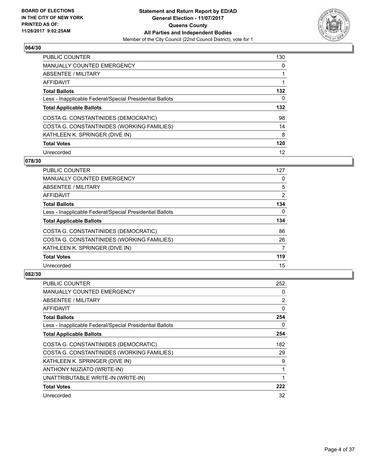

| <b>PUBLIC COUNTER</b>                                    | 130 |
|----------------------------------------------------------|-----|
| <b>MANUALLY COUNTED EMERGENCY</b>                        | 0   |
| ABSENTEE / MILITARY                                      |     |
| AFFIDAVIT                                                |     |
| <b>Total Ballots</b>                                     | 132 |
| Less - Inapplicable Federal/Special Presidential Ballots | 0   |
| <b>Total Applicable Ballots</b>                          | 132 |
| COSTA G. CONSTANTINIDES (DEMOCRATIC)                     | 98  |
| COSTA G. CONSTANTINIDES (WORKING FAMILIES)               | 14  |
| KATHLEEN K. SPRINGER (DIVE IN)                           | 8   |
| <b>Total Votes</b>                                       | 120 |
| Unrecorded                                               | 12  |

#### **078/30**

| <b>PUBLIC COUNTER</b>                                    | 127            |
|----------------------------------------------------------|----------------|
| <b>MANUALLY COUNTED EMERGENCY</b>                        | 0              |
| ABSENTEE / MILITARY                                      | 5              |
| <b>AFFIDAVIT</b>                                         | $\overline{2}$ |
| <b>Total Ballots</b>                                     | 134            |
| Less - Inapplicable Federal/Special Presidential Ballots | $\Omega$       |
| <b>Total Applicable Ballots</b>                          | 134            |
| COSTA G. CONSTANTINIDES (DEMOCRATIC)                     | 86             |
| COSTA G. CONSTANTINIDES (WORKING FAMILIES)               | 26             |
| KATHLEEN K. SPRINGER (DIVE IN)                           | 7              |
| <b>Total Votes</b>                                       | 119            |
| Unrecorded                                               | 15             |

| <b>PUBLIC COUNTER</b>                                    | 252 |
|----------------------------------------------------------|-----|
| <b>MANUALLY COUNTED EMERGENCY</b>                        | 0   |
| ABSENTEE / MILITARY                                      | 2   |
| AFFIDAVIT                                                | 0   |
| <b>Total Ballots</b>                                     | 254 |
| Less - Inapplicable Federal/Special Presidential Ballots | 0   |
| <b>Total Applicable Ballots</b>                          | 254 |
| COSTA G. CONSTANTINIDES (DEMOCRATIC)                     | 182 |
| COSTA G. CONSTANTINIDES (WORKING FAMILIES)               | 29  |
| KATHLEEN K. SPRINGER (DIVE IN)                           | 9   |
| ANTHONY NUZIATO (WRITE-IN)                               | 1   |
| UNATTRIBUTABLE WRITE-IN (WRITE-IN)                       | 1   |
| <b>Total Votes</b>                                       | 222 |
| Unrecorded                                               | 32  |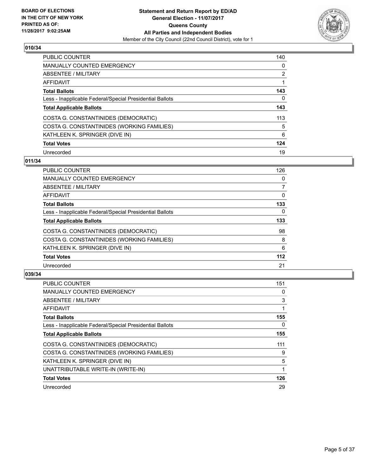

| PUBLIC COUNTER                                           | 140 |
|----------------------------------------------------------|-----|
| <b>MANUALLY COUNTED EMERGENCY</b>                        | 0   |
| ABSENTEE / MILITARY                                      | 2   |
| AFFIDAVIT                                                |     |
| <b>Total Ballots</b>                                     | 143 |
| Less - Inapplicable Federal/Special Presidential Ballots | 0   |
| <b>Total Applicable Ballots</b>                          | 143 |
| COSTA G. CONSTANTINIDES (DEMOCRATIC)                     | 113 |
| COSTA G. CONSTANTINIDES (WORKING FAMILIES)               | 5   |
| KATHLEEN K. SPRINGER (DIVE IN)                           | 6   |
| <b>Total Votes</b>                                       | 124 |
| Unrecorded                                               | 19  |

#### **011/34**

| <b>PUBLIC COUNTER</b>                                    | 126      |
|----------------------------------------------------------|----------|
| MANUALLY COUNTED EMERGENCY                               | 0        |
| ABSENTEE / MILITARY                                      | 7        |
| AFFIDAVIT                                                | 0        |
| <b>Total Ballots</b>                                     | 133      |
| Less - Inapplicable Federal/Special Presidential Ballots | $\Omega$ |
| <b>Total Applicable Ballots</b>                          | 133      |
| COSTA G. CONSTANTINIDES (DEMOCRATIC)                     | 98       |
| COSTA G. CONSTANTINIDES (WORKING FAMILIES)               | 8        |
| KATHLEEN K. SPRINGER (DIVE IN)                           | 6        |
| <b>Total Votes</b>                                       | $112$    |
| Unrecorded                                               | 21       |

| <b>PUBLIC COUNTER</b>                                    | 151 |
|----------------------------------------------------------|-----|
| <b>MANUALLY COUNTED EMERGENCY</b>                        | 0   |
| ABSENTEE / MILITARY                                      | 3   |
| AFFIDAVIT                                                |     |
| <b>Total Ballots</b>                                     | 155 |
| Less - Inapplicable Federal/Special Presidential Ballots | 0   |
| <b>Total Applicable Ballots</b>                          | 155 |
| COSTA G. CONSTANTINIDES (DEMOCRATIC)                     | 111 |
| COSTA G. CONSTANTINIDES (WORKING FAMILIES)               | 9   |
| KATHLEEN K. SPRINGER (DIVE IN)                           | 5   |
| UNATTRIBUTABLE WRITE-IN (WRITE-IN)                       |     |
| <b>Total Votes</b>                                       | 126 |
| Unrecorded                                               | 29  |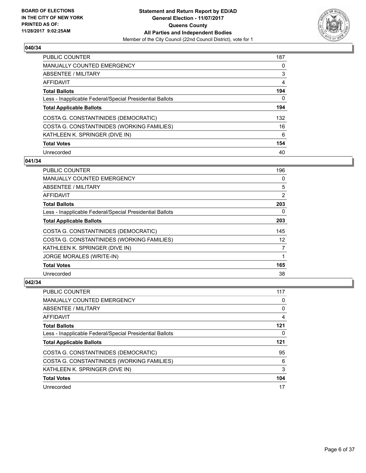

| <b>PUBLIC COUNTER</b>                                    | 187 |
|----------------------------------------------------------|-----|
| <b>MANUALLY COUNTED EMERGENCY</b>                        | 0   |
| ABSENTEE / MILITARY                                      | 3   |
| AFFIDAVIT                                                | 4   |
| <b>Total Ballots</b>                                     | 194 |
| Less - Inapplicable Federal/Special Presidential Ballots | 0   |
| <b>Total Applicable Ballots</b>                          | 194 |
| COSTA G. CONSTANTINIDES (DEMOCRATIC)                     | 132 |
| COSTA G. CONSTANTINIDES (WORKING FAMILIES)               | 16  |
| KATHLEEN K. SPRINGER (DIVE IN)                           | 6   |
| <b>Total Votes</b>                                       | 154 |
| Unrecorded                                               | 40  |

#### **041/34**

| <b>PUBLIC COUNTER</b>                                    | 196 |
|----------------------------------------------------------|-----|
| <b>MANUALLY COUNTED EMERGENCY</b>                        | 0   |
| ABSENTEE / MILITARY                                      | 5   |
| AFFIDAVIT                                                | 2   |
| <b>Total Ballots</b>                                     | 203 |
| Less - Inapplicable Federal/Special Presidential Ballots | 0   |
| <b>Total Applicable Ballots</b>                          | 203 |
| COSTA G. CONSTANTINIDES (DEMOCRATIC)                     | 145 |
| COSTA G. CONSTANTINIDES (WORKING FAMILIES)               | 12  |
| KATHLEEN K. SPRINGER (DIVE IN)                           | 7   |
| <b>JORGE MORALES (WRITE-IN)</b>                          | 1   |
| <b>Total Votes</b>                                       | 165 |
| Unrecorded                                               | 38  |

| PUBLIC COUNTER                                           | 117 |
|----------------------------------------------------------|-----|
| <b>MANUALLY COUNTED EMERGENCY</b>                        | 0   |
| ABSENTEE / MILITARY                                      | 0   |
| AFFIDAVIT                                                | 4   |
| <b>Total Ballots</b>                                     | 121 |
| Less - Inapplicable Federal/Special Presidential Ballots | 0   |
| <b>Total Applicable Ballots</b>                          | 121 |
|                                                          |     |
| COSTA G. CONSTANTINIDES (DEMOCRATIC)                     | 95  |
| COSTA G. CONSTANTINIDES (WORKING FAMILIES)               | 6   |
| KATHLEEN K. SPRINGER (DIVE IN)                           | 3   |
| <b>Total Votes</b>                                       | 104 |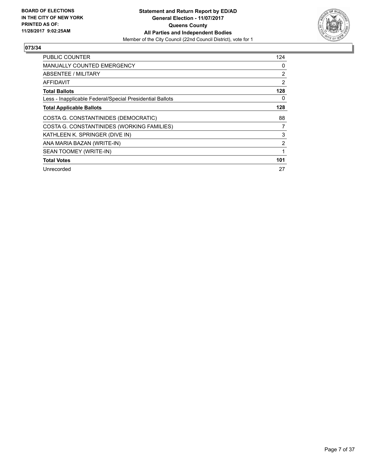

| <b>PUBLIC COUNTER</b>                                    | 124 |
|----------------------------------------------------------|-----|
| <b>MANUALLY COUNTED EMERGENCY</b>                        | 0   |
| ABSENTEE / MILITARY                                      | 2   |
| AFFIDAVIT                                                | 2   |
| <b>Total Ballots</b>                                     | 128 |
| Less - Inapplicable Federal/Special Presidential Ballots | 0   |
| <b>Total Applicable Ballots</b>                          | 128 |
| COSTA G. CONSTANTINIDES (DEMOCRATIC)                     | 88  |
| COSTA G. CONSTANTINIDES (WORKING FAMILIES)               | 7   |
| KATHLEEN K. SPRINGER (DIVE IN)                           | 3   |
| ANA MARIA BAZAN (WRITE-IN)                               | 2   |
| SEAN TOOMEY (WRITE-IN)                                   | 1   |
| <b>Total Votes</b>                                       | 101 |
| Unrecorded                                               | 27  |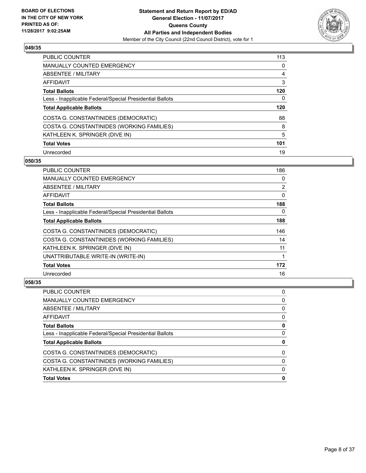

| <b>PUBLIC COUNTER</b>                                    | 113 |
|----------------------------------------------------------|-----|
| <b>MANUALLY COUNTED EMERGENCY</b>                        | 0   |
| ABSENTEE / MILITARY                                      | 4   |
| AFFIDAVIT                                                | 3   |
| <b>Total Ballots</b>                                     | 120 |
| Less - Inapplicable Federal/Special Presidential Ballots | 0   |
| <b>Total Applicable Ballots</b>                          | 120 |
| COSTA G. CONSTANTINIDES (DEMOCRATIC)                     | 88  |
| COSTA G. CONSTANTINIDES (WORKING FAMILIES)               | 8   |
| KATHLEEN K. SPRINGER (DIVE IN)                           | 5   |
|                                                          |     |
| <b>Total Votes</b>                                       | 101 |

#### **050/35**

| PUBLIC COUNTER                                           | 186 |
|----------------------------------------------------------|-----|
| <b>MANUALLY COUNTED EMERGENCY</b>                        | 0   |
| ABSENTEE / MILITARY                                      | 2   |
| AFFIDAVIT                                                | 0   |
| <b>Total Ballots</b>                                     | 188 |
| Less - Inapplicable Federal/Special Presidential Ballots | 0   |
| <b>Total Applicable Ballots</b>                          | 188 |
| COSTA G. CONSTANTINIDES (DEMOCRATIC)                     | 146 |
| COSTA G. CONSTANTINIDES (WORKING FAMILIES)               | 14  |
| KATHLEEN K. SPRINGER (DIVE IN)                           | 11  |
| UNATTRIBUTABLE WRITE-IN (WRITE-IN)                       | 1   |
| <b>Total Votes</b>                                       | 172 |
| Unrecorded                                               | 16  |

| <b>Total Votes</b>                                       | 0 |
|----------------------------------------------------------|---|
| KATHLEEN K. SPRINGER (DIVE IN)                           | 0 |
| COSTA G. CONSTANTINIDES (WORKING FAMILIES)               | 0 |
| COSTA G. CONSTANTINIDES (DEMOCRATIC)                     | 0 |
| <b>Total Applicable Ballots</b>                          | 0 |
| Less - Inapplicable Federal/Special Presidential Ballots | 0 |
| <b>Total Ballots</b>                                     | 0 |
| <b>AFFIDAVIT</b>                                         | 0 |
| <b>ABSENTEE / MILITARY</b>                               | 0 |
| <b>MANUALLY COUNTED EMERGENCY</b>                        | 0 |
| <b>PUBLIC COUNTER</b>                                    | 0 |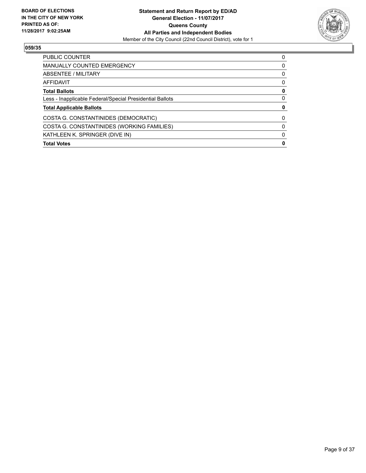

| PUBLIC COUNTER                                           | 0 |
|----------------------------------------------------------|---|
| <b>MANUALLY COUNTED EMERGENCY</b>                        | O |
| ABSENTEE / MILITARY                                      | 0 |
| AFFIDAVIT                                                | 0 |
| <b>Total Ballots</b>                                     | 0 |
| Less - Inapplicable Federal/Special Presidential Ballots | 0 |
| <b>Total Applicable Ballots</b>                          |   |
| COSTA G. CONSTANTINIDES (DEMOCRATIC)                     | 0 |
| COSTA G. CONSTANTINIDES (WORKING FAMILIES)               | 0 |
| KATHLEEN K. SPRINGER (DIVE IN)                           |   |
| <b>Total Votes</b>                                       | Ω |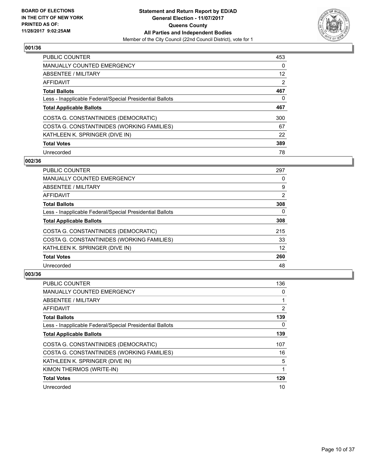

| PUBLIC COUNTER                                           | 453 |
|----------------------------------------------------------|-----|
| <b>MANUALLY COUNTED EMERGENCY</b>                        | 0   |
| ABSENTEE / MILITARY                                      | 12  |
| AFFIDAVIT                                                | 2   |
| <b>Total Ballots</b>                                     | 467 |
| Less - Inapplicable Federal/Special Presidential Ballots | 0   |
| <b>Total Applicable Ballots</b>                          | 467 |
| COSTA G. CONSTANTINIDES (DEMOCRATIC)                     | 300 |
| COSTA G. CONSTANTINIDES (WORKING FAMILIES)               | 67  |
| KATHLEEN K. SPRINGER (DIVE IN)                           | 22  |
| <b>Total Votes</b>                                       | 389 |
| Unrecorded                                               | 78  |

#### **002/36**

| <b>PUBLIC COUNTER</b>                                    | 297      |
|----------------------------------------------------------|----------|
| <b>MANUALLY COUNTED EMERGENCY</b>                        | 0        |
| ABSENTEE / MILITARY                                      | 9        |
| <b>AFFIDAVIT</b>                                         | 2        |
| <b>Total Ballots</b>                                     | 308      |
| Less - Inapplicable Federal/Special Presidential Ballots | $\Omega$ |
| <b>Total Applicable Ballots</b>                          | 308      |
| COSTA G. CONSTANTINIDES (DEMOCRATIC)                     | 215      |
| COSTA G. CONSTANTINIDES (WORKING FAMILIES)               | 33       |
| KATHLEEN K. SPRINGER (DIVE IN)                           | 12       |
| <b>Total Votes</b>                                       | 260      |
| Unrecorded                                               | 48       |

| <b>PUBLIC COUNTER</b>                                    | 136 |
|----------------------------------------------------------|-----|
| <b>MANUALLY COUNTED EMERGENCY</b>                        | 0   |
| ABSENTEE / MILITARY                                      |     |
| AFFIDAVIT                                                | 2   |
| <b>Total Ballots</b>                                     | 139 |
| Less - Inapplicable Federal/Special Presidential Ballots | 0   |
| <b>Total Applicable Ballots</b>                          | 139 |
| COSTA G. CONSTANTINIDES (DEMOCRATIC)                     | 107 |
| COSTA G. CONSTANTINIDES (WORKING FAMILIES)               | 16  |
| KATHLEEN K. SPRINGER (DIVE IN)                           | 5   |
| KIMON THERMOS (WRITE-IN)                                 |     |
| <b>Total Votes</b>                                       | 129 |
| Unrecorded                                               | 10  |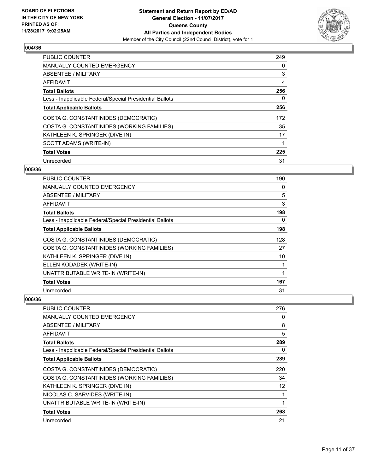

| <b>PUBLIC COUNTER</b>                                    | 249 |
|----------------------------------------------------------|-----|
| MANUALLY COUNTED EMERGENCY                               | 0   |
| ABSENTEE / MILITARY                                      | 3   |
| AFFIDAVIT                                                | 4   |
| <b>Total Ballots</b>                                     | 256 |
| Less - Inapplicable Federal/Special Presidential Ballots | 0   |
| <b>Total Applicable Ballots</b>                          | 256 |
| COSTA G. CONSTANTINIDES (DEMOCRATIC)                     | 172 |
| COSTA G. CONSTANTINIDES (WORKING FAMILIES)               | 35  |
| KATHLEEN K. SPRINGER (DIVE IN)                           | 17  |
| SCOTT ADAMS (WRITE-IN)                                   |     |
| <b>Total Votes</b>                                       | 225 |
| Unrecorded                                               | 31  |

# **005/36**

| PUBLIC COUNTER                                           | 190 |
|----------------------------------------------------------|-----|
| MANUALLY COUNTED EMERGENCY                               | 0   |
| ABSENTEE / MILITARY                                      | 5   |
| AFFIDAVIT                                                | 3   |
| <b>Total Ballots</b>                                     | 198 |
| Less - Inapplicable Federal/Special Presidential Ballots | 0   |
| <b>Total Applicable Ballots</b>                          | 198 |
| COSTA G. CONSTANTINIDES (DEMOCRATIC)                     | 128 |
| COSTA G. CONSTANTINIDES (WORKING FAMILIES)               | 27  |
| KATHLEEN K. SPRINGER (DIVE IN)                           | 10  |
| ELLEN KODADEK (WRITE-IN)                                 | 1   |
| UNATTRIBUTABLE WRITE-IN (WRITE-IN)                       | 1   |
| <b>Total Votes</b>                                       | 167 |
| Unrecorded                                               | 31  |

| PUBLIC COUNTER                                           | 276 |
|----------------------------------------------------------|-----|
| <b>MANUALLY COUNTED EMERGENCY</b>                        | 0   |
| ABSENTEE / MILITARY                                      | 8   |
| AFFIDAVIT                                                | 5   |
| <b>Total Ballots</b>                                     | 289 |
| Less - Inapplicable Federal/Special Presidential Ballots | 0   |
| <b>Total Applicable Ballots</b>                          | 289 |
| COSTA G. CONSTANTINIDES (DEMOCRATIC)                     | 220 |
| COSTA G. CONSTANTINIDES (WORKING FAMILIES)               | 34  |
| KATHLEEN K. SPRINGER (DIVE IN)                           | 12  |
| NICOLAS C. SARVIDES (WRITE-IN)                           |     |
| UNATTRIBUTABLE WRITE-IN (WRITE-IN)                       |     |
| <b>Total Votes</b>                                       | 268 |
| Unrecorded                                               | 21  |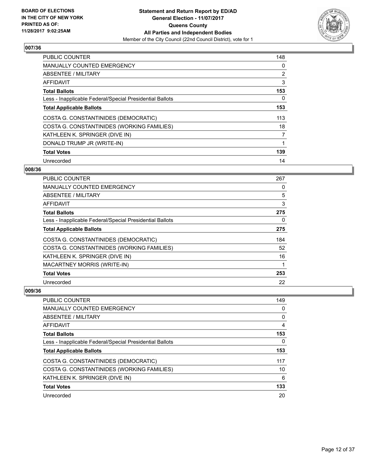

| <b>PUBLIC COUNTER</b>                                    | 148 |
|----------------------------------------------------------|-----|
| <b>MANUALLY COUNTED EMERGENCY</b>                        | 0   |
| ABSENTEE / MILITARY                                      | 2   |
| <b>AFFIDAVIT</b>                                         | 3   |
| <b>Total Ballots</b>                                     | 153 |
| Less - Inapplicable Federal/Special Presidential Ballots | 0   |
| <b>Total Applicable Ballots</b>                          | 153 |
| COSTA G. CONSTANTINIDES (DEMOCRATIC)                     | 113 |
| COSTA G. CONSTANTINIDES (WORKING FAMILIES)               | 18  |
| KATHLEEN K. SPRINGER (DIVE IN)                           | 7   |
| DONALD TRUMP JR (WRITE-IN)                               | 1   |
| <b>Total Votes</b>                                       | 139 |
| Unrecorded                                               | 14  |

# **008/36**

| <b>PUBLIC COUNTER</b>                                    | 267 |
|----------------------------------------------------------|-----|
| MANUALLY COUNTED EMERGENCY                               | 0   |
| ABSENTEE / MILITARY                                      | 5   |
| AFFIDAVIT                                                | 3   |
| <b>Total Ballots</b>                                     | 275 |
| Less - Inapplicable Federal/Special Presidential Ballots | 0   |
| <b>Total Applicable Ballots</b>                          | 275 |
| COSTA G. CONSTANTINIDES (DEMOCRATIC)                     | 184 |
| COSTA G. CONSTANTINIDES (WORKING FAMILIES)               | 52  |
| KATHLEEN K. SPRINGER (DIVE IN)                           | 16  |
| <b>MACARTNEY MORRIS (WRITE-IN)</b>                       | 1   |
| <b>Total Votes</b>                                       | 253 |
| Unrecorded                                               | 22  |

| <b>PUBLIC COUNTER</b>                                    | 149 |
|----------------------------------------------------------|-----|
| <b>MANUALLY COUNTED EMERGENCY</b>                        | 0   |
| ABSENTEE / MILITARY                                      | 0   |
| AFFIDAVIT                                                | 4   |
| <b>Total Ballots</b>                                     | 153 |
| Less - Inapplicable Federal/Special Presidential Ballots | 0   |
| <b>Total Applicable Ballots</b>                          | 153 |
| COSTA G. CONSTANTINIDES (DEMOCRATIC)                     | 117 |
| COSTA G. CONSTANTINIDES (WORKING FAMILIES)               | 10  |
| KATHLEEN K. SPRINGER (DIVE IN)                           | 6   |
| <b>Total Votes</b>                                       | 133 |
| Unrecorded                                               | 20  |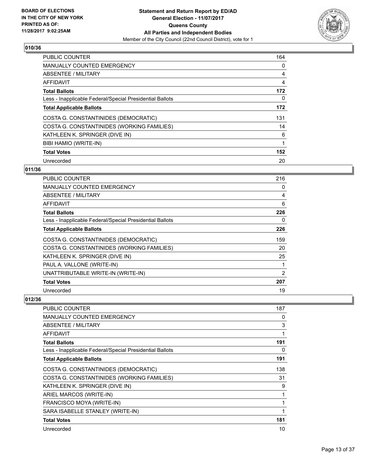

| <b>PUBLIC COUNTER</b>                                    | 164 |
|----------------------------------------------------------|-----|
| MANUALLY COUNTED EMERGENCY                               | 0   |
| ABSENTEE / MILITARY                                      | 4   |
| AFFIDAVIT                                                | 4   |
| <b>Total Ballots</b>                                     | 172 |
| Less - Inapplicable Federal/Special Presidential Ballots | 0   |
| <b>Total Applicable Ballots</b>                          | 172 |
| COSTA G. CONSTANTINIDES (DEMOCRATIC)                     | 131 |
| COSTA G. CONSTANTINIDES (WORKING FAMILIES)               | 14  |
| KATHLEEN K. SPRINGER (DIVE IN)                           | 6   |
| BIBI HAMIO (WRITE-IN)                                    | 1   |
| <b>Total Votes</b>                                       | 152 |
| Unrecorded                                               | 20  |

# **011/36**

| PUBLIC COUNTER                                           | 216 |
|----------------------------------------------------------|-----|
| MANUALLY COUNTED EMERGENCY                               | 0   |
| ABSENTEE / MILITARY                                      | 4   |
| AFFIDAVIT                                                | 6   |
| <b>Total Ballots</b>                                     | 226 |
| Less - Inapplicable Federal/Special Presidential Ballots | 0   |
| <b>Total Applicable Ballots</b>                          | 226 |
| COSTA G. CONSTANTINIDES (DEMOCRATIC)                     | 159 |
| COSTA G. CONSTANTINIDES (WORKING FAMILIES)               | 20  |
| KATHLEEN K. SPRINGER (DIVE IN)                           | 25  |
| PAUL A. VALLONE (WRITE-IN)                               |     |
| UNATTRIBUTABLE WRITE-IN (WRITE-IN)                       | 2   |
| <b>Total Votes</b>                                       | 207 |
| Unrecorded                                               | 19  |

| PUBLIC COUNTER                                           | 187 |
|----------------------------------------------------------|-----|
| <b>MANUALLY COUNTED EMERGENCY</b>                        | 0   |
| ABSENTEE / MILITARY                                      | 3   |
| AFFIDAVIT                                                |     |
| <b>Total Ballots</b>                                     | 191 |
| Less - Inapplicable Federal/Special Presidential Ballots | 0   |
| <b>Total Applicable Ballots</b>                          | 191 |
| COSTA G. CONSTANTINIDES (DEMOCRATIC)                     | 138 |
| COSTA G. CONSTANTINIDES (WORKING FAMILIES)               | 31  |
| KATHLEEN K. SPRINGER (DIVE IN)                           | 9   |
| ARIEL MARCOS (WRITE-IN)                                  |     |
| FRANCISCO MOYA (WRITE-IN)                                |     |
| SARA ISABELLE STANLEY (WRITE-IN)                         | 1   |
| <b>Total Votes</b>                                       | 181 |
| Unrecorded                                               | 10  |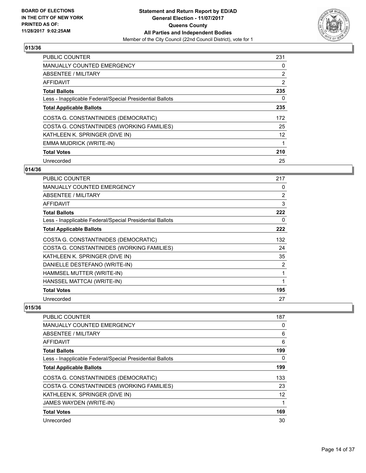

| <b>PUBLIC COUNTER</b>                                    | 231 |
|----------------------------------------------------------|-----|
| MANUALLY COUNTED EMERGENCY                               | 0   |
| ABSENTEE / MILITARY                                      | 2   |
| AFFIDAVIT                                                | 2   |
| <b>Total Ballots</b>                                     | 235 |
| Less - Inapplicable Federal/Special Presidential Ballots | 0   |
| <b>Total Applicable Ballots</b>                          | 235 |
| COSTA G. CONSTANTINIDES (DEMOCRATIC)                     | 172 |
| COSTA G. CONSTANTINIDES (WORKING FAMILIES)               | 25  |
| KATHLEEN K. SPRINGER (DIVE IN)                           | 12  |
| EMMA MUDRICK (WRITE-IN)                                  |     |
| <b>Total Votes</b>                                       | 210 |
| Unrecorded                                               | 25  |

#### **014/36**

| <b>PUBLIC COUNTER</b>                                    | 217 |
|----------------------------------------------------------|-----|
| <b>MANUALLY COUNTED EMERGENCY</b>                        | 0   |
| ABSENTEE / MILITARY                                      | 2   |
| AFFIDAVIT                                                | 3   |
| <b>Total Ballots</b>                                     | 222 |
| Less - Inapplicable Federal/Special Presidential Ballots | 0   |
| <b>Total Applicable Ballots</b>                          | 222 |
| COSTA G. CONSTANTINIDES (DEMOCRATIC)                     | 132 |
| COSTA G. CONSTANTINIDES (WORKING FAMILIES)               | 24  |
| KATHLEEN K. SPRINGER (DIVE IN)                           | 35  |
| DANIELLE DESTEFANO (WRITE-IN)                            | 2   |
| HAMMSEL MUTTER (WRITE-IN)                                | 1   |
| HANSSEL MATTCAI (WRITE-IN)                               | 1   |
| <b>Total Votes</b>                                       | 195 |
| Unrecorded                                               | 27  |

| <b>PUBLIC COUNTER</b>                                    | 187 |
|----------------------------------------------------------|-----|
| <b>MANUALLY COUNTED EMERGENCY</b>                        | 0   |
| ABSENTEE / MILITARY                                      | 6   |
| AFFIDAVIT                                                | 6   |
| <b>Total Ballots</b>                                     | 199 |
| Less - Inapplicable Federal/Special Presidential Ballots | 0   |
| <b>Total Applicable Ballots</b>                          | 199 |
| COSTA G. CONSTANTINIDES (DEMOCRATIC)                     | 133 |
| COSTA G. CONSTANTINIDES (WORKING FAMILIES)               | 23  |
| KATHLEEN K. SPRINGER (DIVE IN)                           | 12  |
| JAMES WAYDEN (WRITE-IN)                                  |     |
| <b>Total Votes</b>                                       | 169 |
| Unrecorded                                               | 30  |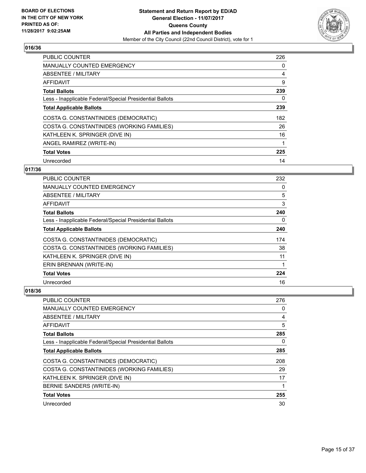

| <b>PUBLIC COUNTER</b>                                    | 226 |
|----------------------------------------------------------|-----|
| MANUALLY COUNTED EMERGENCY                               | 0   |
| ABSENTEE / MILITARY                                      | 4   |
| AFFIDAVIT                                                | 9   |
| <b>Total Ballots</b>                                     | 239 |
| Less - Inapplicable Federal/Special Presidential Ballots | 0   |
| <b>Total Applicable Ballots</b>                          | 239 |
| COSTA G. CONSTANTINIDES (DEMOCRATIC)                     | 182 |
| COSTA G. CONSTANTINIDES (WORKING FAMILIES)               | 26  |
| KATHLEEN K. SPRINGER (DIVE IN)                           | 16  |
| ANGEL RAMIREZ (WRITE-IN)                                 |     |
| <b>Total Votes</b>                                       | 225 |
| Unrecorded                                               | 14  |

# **017/36**

| PUBLIC COUNTER                                           | 232 |
|----------------------------------------------------------|-----|
| MANUALLY COUNTED EMERGENCY                               | 0   |
| ABSENTEE / MILITARY                                      | 5   |
| AFFIDAVIT                                                | 3   |
| <b>Total Ballots</b>                                     | 240 |
| Less - Inapplicable Federal/Special Presidential Ballots | 0   |
| <b>Total Applicable Ballots</b>                          | 240 |
| COSTA G. CONSTANTINIDES (DEMOCRATIC)                     | 174 |
| COSTA G. CONSTANTINIDES (WORKING FAMILIES)               | 38  |
| KATHLEEN K. SPRINGER (DIVE IN)                           | 11  |
| ERIN BRENNAN (WRITE-IN)                                  | 1   |
| <b>Total Votes</b>                                       | 224 |
| Unrecorded                                               | 16  |

| <b>PUBLIC COUNTER</b>                                    | 276 |
|----------------------------------------------------------|-----|
| <b>MANUALLY COUNTED EMERGENCY</b>                        | 0   |
| ABSENTEE / MILITARY                                      | 4   |
| AFFIDAVIT                                                | 5   |
| <b>Total Ballots</b>                                     | 285 |
| Less - Inapplicable Federal/Special Presidential Ballots | 0   |
| <b>Total Applicable Ballots</b>                          | 285 |
| COSTA G. CONSTANTINIDES (DEMOCRATIC)                     | 208 |
| COSTA G. CONSTANTINIDES (WORKING FAMILIES)               | 29  |
| KATHLEEN K. SPRINGER (DIVE IN)                           | 17  |
| BERNIE SANDERS (WRITE-IN)                                |     |
| <b>Total Votes</b>                                       | 255 |
| Unrecorded                                               | 30  |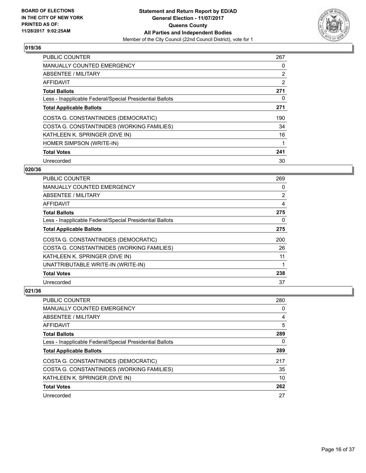

| <b>PUBLIC COUNTER</b>                                    | 267 |
|----------------------------------------------------------|-----|
| MANUALLY COUNTED EMERGENCY                               | 0   |
| ABSENTEE / MILITARY                                      | 2   |
| AFFIDAVIT                                                | 2   |
| <b>Total Ballots</b>                                     | 271 |
| Less - Inapplicable Federal/Special Presidential Ballots | 0   |
| <b>Total Applicable Ballots</b>                          | 271 |
| COSTA G. CONSTANTINIDES (DEMOCRATIC)                     | 190 |
| COSTA G. CONSTANTINIDES (WORKING FAMILIES)               | 34  |
| KATHLEEN K. SPRINGER (DIVE IN)                           | 16  |
| HOMER SIMPSON (WRITE-IN)                                 |     |
| <b>Total Votes</b>                                       | 241 |
| Unrecorded                                               | 30  |

#### **020/36**

| PUBLIC COUNTER                                           | 269            |
|----------------------------------------------------------|----------------|
| MANUALLY COUNTED EMERGENCY                               | 0              |
| ABSENTEE / MILITARY                                      | $\overline{2}$ |
| AFFIDAVIT                                                | 4              |
| <b>Total Ballots</b>                                     | 275            |
| Less - Inapplicable Federal/Special Presidential Ballots | 0              |
| <b>Total Applicable Ballots</b>                          | 275            |
| COSTA G. CONSTANTINIDES (DEMOCRATIC)                     | 200            |
| COSTA G. CONSTANTINIDES (WORKING FAMILIES)               | 26             |
| KATHLEEN K. SPRINGER (DIVE IN)                           | 11             |
| UNATTRIBUTABLE WRITE-IN (WRITE-IN)                       |                |
| <b>Total Votes</b>                                       | 238            |
| Unrecorded                                               | 37             |

| <b>PUBLIC COUNTER</b>                                    | 280 |
|----------------------------------------------------------|-----|
| <b>MANUALLY COUNTED EMERGENCY</b>                        | 0   |
| ABSENTEE / MILITARY                                      | 4   |
| AFFIDAVIT                                                | 5   |
| <b>Total Ballots</b>                                     | 289 |
| Less - Inapplicable Federal/Special Presidential Ballots | 0   |
| <b>Total Applicable Ballots</b>                          | 289 |
| COSTA G. CONSTANTINIDES (DEMOCRATIC)                     | 217 |
| COSTA G. CONSTANTINIDES (WORKING FAMILIES)               | 35  |
| KATHLEEN K. SPRINGER (DIVE IN)                           | 10  |
| <b>Total Votes</b>                                       | 262 |
| Unrecorded                                               | 27  |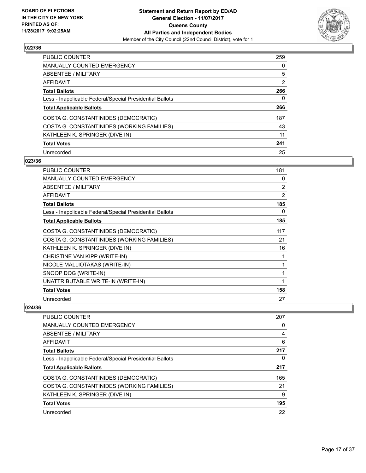

| <b>PUBLIC COUNTER</b>                                    | 259 |
|----------------------------------------------------------|-----|
| <b>MANUALLY COUNTED EMERGENCY</b>                        | 0   |
| ABSENTEE / MILITARY                                      | 5   |
| AFFIDAVIT                                                | 2   |
| <b>Total Ballots</b>                                     | 266 |
| Less - Inapplicable Federal/Special Presidential Ballots | 0   |
| <b>Total Applicable Ballots</b>                          | 266 |
| COSTA G. CONSTANTINIDES (DEMOCRATIC)                     | 187 |
| COSTA G. CONSTANTINIDES (WORKING FAMILIES)               | 43  |
| KATHLEEN K. SPRINGER (DIVE IN)                           | 11  |
| <b>Total Votes</b>                                       | 241 |
| Unrecorded                                               | 25  |

#### **023/36**

| <b>PUBLIC COUNTER</b>                                    | 181            |
|----------------------------------------------------------|----------------|
| <b>MANUALLY COUNTED EMERGENCY</b>                        | 0              |
| ABSENTEE / MILITARY                                      | $\overline{2}$ |
| <b>AFFIDAVIT</b>                                         | 2              |
| <b>Total Ballots</b>                                     | 185            |
| Less - Inapplicable Federal/Special Presidential Ballots | 0              |
| <b>Total Applicable Ballots</b>                          | 185            |
| COSTA G. CONSTANTINIDES (DEMOCRATIC)                     | 117            |
| COSTA G. CONSTANTINIDES (WORKING FAMILIES)               | 21             |
| KATHLEEN K. SPRINGER (DIVE IN)                           | 16             |
| CHRISTINE VAN KIPP (WRITE-IN)                            | 1              |
| NICOLE MALLIOTAKAS (WRITE-IN)                            | 1              |
| SNOOP DOG (WRITE-IN)                                     | 1              |
| UNATTRIBUTABLE WRITE-IN (WRITE-IN)                       | 1              |
| <b>Total Votes</b>                                       | 158            |
| Unrecorded                                               | 27             |

| <b>PUBLIC COUNTER</b>                                    | 207 |
|----------------------------------------------------------|-----|
| MANUALLY COUNTED EMERGENCY                               | 0   |
| ABSENTEE / MILITARY                                      | 4   |
| AFFIDAVIT                                                | 6   |
| <b>Total Ballots</b>                                     | 217 |
| Less - Inapplicable Federal/Special Presidential Ballots | 0   |
| <b>Total Applicable Ballots</b>                          | 217 |
| COSTA G. CONSTANTINIDES (DEMOCRATIC)                     | 165 |
| COSTA G. CONSTANTINIDES (WORKING FAMILIES)               | 21  |
| KATHLEEN K. SPRINGER (DIVE IN)                           | 9   |
| <b>Total Votes</b>                                       | 195 |
| Unrecorded                                               | 22  |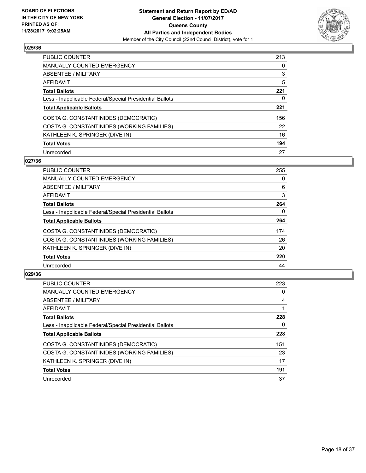

| PUBLIC COUNTER                                           | 213 |
|----------------------------------------------------------|-----|
| <b>MANUALLY COUNTED EMERGENCY</b>                        | 0   |
| ABSENTEE / MILITARY                                      | 3   |
| AFFIDAVIT                                                | 5   |
| <b>Total Ballots</b>                                     | 221 |
| Less - Inapplicable Federal/Special Presidential Ballots | 0   |
| <b>Total Applicable Ballots</b>                          | 221 |
| COSTA G. CONSTANTINIDES (DEMOCRATIC)                     | 156 |
| COSTA G. CONSTANTINIDES (WORKING FAMILIES)               | 22  |
| KATHLEEN K. SPRINGER (DIVE IN)                           | 16  |
| <b>Total Votes</b>                                       | 194 |
| Unrecorded                                               | 27  |

#### **027/36**

| <b>PUBLIC COUNTER</b>                                    | 255 |
|----------------------------------------------------------|-----|
| <b>MANUALLY COUNTED EMERGENCY</b>                        | 0   |
| ABSENTEE / MILITARY                                      | 6   |
| AFFIDAVIT                                                | 3   |
| <b>Total Ballots</b>                                     | 264 |
| Less - Inapplicable Federal/Special Presidential Ballots | 0   |
| <b>Total Applicable Ballots</b>                          | 264 |
| COSTA G. CONSTANTINIDES (DEMOCRATIC)                     | 174 |
| COSTA G. CONSTANTINIDES (WORKING FAMILIES)               | 26  |
| KATHLEEN K. SPRINGER (DIVE IN)                           | 20  |
| <b>Total Votes</b>                                       | 220 |
| Unrecorded                                               | 44  |

| <b>PUBLIC COUNTER</b>                                    | 223 |
|----------------------------------------------------------|-----|
| <b>MANUALLY COUNTED EMERGENCY</b>                        | 0   |
| ABSENTEE / MILITARY                                      | 4   |
| AFFIDAVIT                                                |     |
| <b>Total Ballots</b>                                     | 228 |
| Less - Inapplicable Federal/Special Presidential Ballots | 0   |
| <b>Total Applicable Ballots</b>                          | 228 |
| COSTA G. CONSTANTINIDES (DEMOCRATIC)                     | 151 |
| COSTA G. CONSTANTINIDES (WORKING FAMILIES)               | 23  |
| KATHLEEN K. SPRINGER (DIVE IN)                           | 17  |
| <b>Total Votes</b>                                       | 191 |
| Unrecorded                                               | 37  |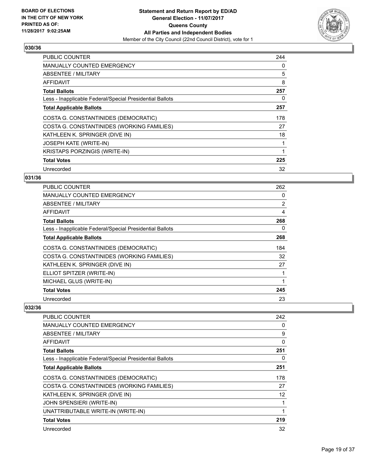

| <b>PUBLIC COUNTER</b>                                    | 244 |
|----------------------------------------------------------|-----|
| <b>MANUALLY COUNTED EMERGENCY</b>                        | 0   |
| ABSENTEE / MILITARY                                      | 5   |
| AFFIDAVIT                                                | 8   |
| <b>Total Ballots</b>                                     | 257 |
| Less - Inapplicable Federal/Special Presidential Ballots | 0   |
| <b>Total Applicable Ballots</b>                          | 257 |
| COSTA G. CONSTANTINIDES (DEMOCRATIC)                     | 178 |
| COSTA G. CONSTANTINIDES (WORKING FAMILIES)               | 27  |
| KATHLEEN K. SPRINGER (DIVE IN)                           | 18  |
| <b>JOSEPH KATE (WRITE-IN)</b>                            | 1   |
| <b>KRISTAPS PORZINGIS (WRITE-IN)</b>                     | 1   |
| <b>Total Votes</b>                                       | 225 |
| Unrecorded                                               | 32  |

# **031/36**

| <b>PUBLIC COUNTER</b>                                    | 262            |
|----------------------------------------------------------|----------------|
| MANUALLY COUNTED EMERGENCY                               | 0              |
| ABSENTEE / MILITARY                                      | $\overline{2}$ |
| AFFIDAVIT                                                | 4              |
| <b>Total Ballots</b>                                     | 268            |
| Less - Inapplicable Federal/Special Presidential Ballots | 0              |
| <b>Total Applicable Ballots</b>                          | 268            |
| COSTA G. CONSTANTINIDES (DEMOCRATIC)                     | 184            |
| COSTA G. CONSTANTINIDES (WORKING FAMILIES)               | 32             |
| KATHLEEN K. SPRINGER (DIVE IN)                           | 27             |
| ELLIOT SPITZER (WRITE-IN)                                |                |
| MICHAEL GLUS (WRITE-IN)                                  |                |
| <b>Total Votes</b>                                       | 245            |
| Unrecorded                                               | 23             |

| PUBLIC COUNTER                                           | 242 |
|----------------------------------------------------------|-----|
| MANUALLY COUNTED EMERGENCY                               | 0   |
| <b>ABSENTEE / MILITARY</b>                               | 9   |
| <b>AFFIDAVIT</b>                                         | 0   |
| <b>Total Ballots</b>                                     | 251 |
| Less - Inapplicable Federal/Special Presidential Ballots | 0   |
| <b>Total Applicable Ballots</b>                          | 251 |
| COSTA G. CONSTANTINIDES (DEMOCRATIC)                     | 178 |
| COSTA G. CONSTANTINIDES (WORKING FAMILIES)               | 27  |
| KATHLEEN K. SPRINGER (DIVE IN)                           | 12  |
| <b>JOHN SPENSIERI (WRITE-IN)</b>                         |     |
| UNATTRIBUTABLE WRITE-IN (WRITE-IN)                       |     |
| <b>Total Votes</b>                                       | 219 |
| Unrecorded                                               | 32  |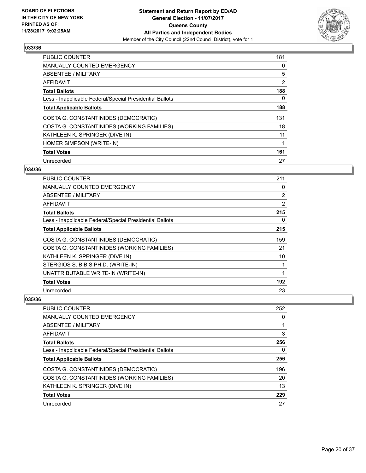

| <b>PUBLIC COUNTER</b>                                    | 181 |
|----------------------------------------------------------|-----|
| <b>MANUALLY COUNTED EMERGENCY</b>                        | 0   |
| ABSENTEE / MILITARY                                      | 5   |
| AFFIDAVIT                                                | 2   |
| <b>Total Ballots</b>                                     | 188 |
| Less - Inapplicable Federal/Special Presidential Ballots | 0   |
| <b>Total Applicable Ballots</b>                          | 188 |
| COSTA G. CONSTANTINIDES (DEMOCRATIC)                     | 131 |
| COSTA G. CONSTANTINIDES (WORKING FAMILIES)               | 18  |
| KATHLEEN K. SPRINGER (DIVE IN)                           | 11  |
| HOMER SIMPSON (WRITE-IN)                                 | 1   |
| <b>Total Votes</b>                                       | 161 |
| Unrecorded                                               | 27  |

# **034/36**

| PUBLIC COUNTER                                           | 211            |
|----------------------------------------------------------|----------------|
| <b>MANUALLY COUNTED EMERGENCY</b>                        | 0              |
| ABSENTEE / MILITARY                                      | 2              |
| AFFIDAVIT                                                | $\overline{2}$ |
| <b>Total Ballots</b>                                     | 215            |
| Less - Inapplicable Federal/Special Presidential Ballots | 0              |
| <b>Total Applicable Ballots</b>                          | 215            |
| COSTA G. CONSTANTINIDES (DEMOCRATIC)                     | 159            |
| COSTA G. CONSTANTINIDES (WORKING FAMILIES)               | 21             |
| KATHLEEN K. SPRINGER (DIVE IN)                           | 10             |
| STERGIOS S. BIBIS PH.D. (WRITE-IN)                       | 1              |
| UNATTRIBUTABLE WRITE-IN (WRITE-IN)                       | 1              |
| <b>Total Votes</b>                                       | 192            |
| Unrecorded                                               | 23             |

| PUBLIC COUNTER                                           | 252 |
|----------------------------------------------------------|-----|
| <b>MANUALLY COUNTED EMERGENCY</b>                        | 0   |
| ABSENTEE / MILITARY                                      |     |
| AFFIDAVIT                                                | 3   |
| <b>Total Ballots</b>                                     | 256 |
| Less - Inapplicable Federal/Special Presidential Ballots | 0   |
| <b>Total Applicable Ballots</b>                          | 256 |
| COSTA G. CONSTANTINIDES (DEMOCRATIC)                     | 196 |
| COSTA G. CONSTANTINIDES (WORKING FAMILIES)               | 20  |
| KATHLEEN K. SPRINGER (DIVE IN)                           | 13  |
| <b>Total Votes</b>                                       | 229 |
| Unrecorded                                               | 27  |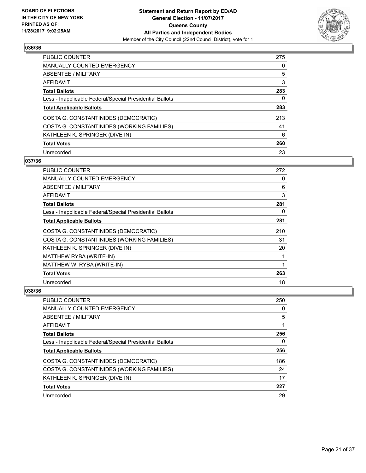

| <b>PUBLIC COUNTER</b>                                    | 275 |
|----------------------------------------------------------|-----|
| <b>MANUALLY COUNTED EMERGENCY</b>                        | 0   |
| ABSENTEE / MILITARY                                      | 5   |
| AFFIDAVIT                                                | 3   |
| <b>Total Ballots</b>                                     | 283 |
| Less - Inapplicable Federal/Special Presidential Ballots | 0   |
| <b>Total Applicable Ballots</b>                          | 283 |
| COSTA G. CONSTANTINIDES (DEMOCRATIC)                     | 213 |
| COSTA G. CONSTANTINIDES (WORKING FAMILIES)               | 41  |
| KATHLEEN K. SPRINGER (DIVE IN)                           | 6   |
| <b>Total Votes</b>                                       | 260 |
| Unrecorded                                               | 23  |

#### **037/36**

| PUBLIC COUNTER                                           | 272 |
|----------------------------------------------------------|-----|
| <b>MANUALLY COUNTED EMERGENCY</b>                        | 0   |
| ABSENTEE / MILITARY                                      | 6   |
| AFFIDAVIT                                                | 3   |
| <b>Total Ballots</b>                                     | 281 |
| Less - Inapplicable Federal/Special Presidential Ballots | 0   |
| <b>Total Applicable Ballots</b>                          | 281 |
| COSTA G. CONSTANTINIDES (DEMOCRATIC)                     | 210 |
| COSTA G. CONSTANTINIDES (WORKING FAMILIES)               | 31  |
| KATHLEEN K. SPRINGER (DIVE IN)                           | 20  |
| MATTHEW RYBA (WRITE-IN)                                  |     |
| MATTHEW W. RYBA (WRITE-IN)                               | 1   |
| <b>Total Votes</b>                                       | 263 |
| Unrecorded                                               | 18  |

| <b>PUBLIC COUNTER</b>                                    | 250 |
|----------------------------------------------------------|-----|
| <b>MANUALLY COUNTED EMERGENCY</b>                        | 0   |
| ABSENTEE / MILITARY                                      | 5   |
| AFFIDAVIT                                                |     |
| <b>Total Ballots</b>                                     | 256 |
| Less - Inapplicable Federal/Special Presidential Ballots | 0   |
| <b>Total Applicable Ballots</b>                          | 256 |
| COSTA G. CONSTANTINIDES (DEMOCRATIC)                     | 186 |
| COSTA G. CONSTANTINIDES (WORKING FAMILIES)               | 24  |
| KATHLEEN K. SPRINGER (DIVE IN)                           | 17  |
| <b>Total Votes</b>                                       | 227 |
| Unrecorded                                               | 29  |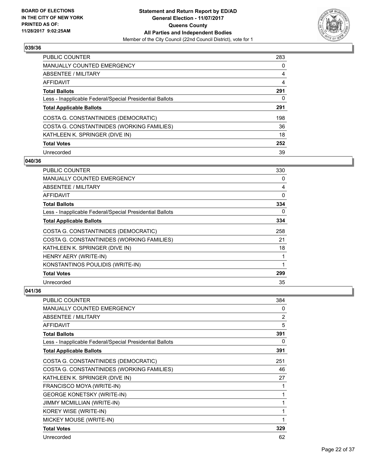

| <b>PUBLIC COUNTER</b>                                    | 283 |
|----------------------------------------------------------|-----|
| <b>MANUALLY COUNTED EMERGENCY</b>                        | 0   |
| ABSENTEE / MILITARY                                      | 4   |
| AFFIDAVIT                                                | 4   |
| <b>Total Ballots</b>                                     | 291 |
| Less - Inapplicable Federal/Special Presidential Ballots | 0   |
| <b>Total Applicable Ballots</b>                          | 291 |
| COSTA G. CONSTANTINIDES (DEMOCRATIC)                     | 198 |
| COSTA G. CONSTANTINIDES (WORKING FAMILIES)               | 36  |
| KATHLEEN K. SPRINGER (DIVE IN)                           | 18  |
| <b>Total Votes</b>                                       | 252 |
| Unrecorded                                               | 39  |

#### **040/36**

| PUBLIC COUNTER                                           | 330          |
|----------------------------------------------------------|--------------|
| MANUALLY COUNTED EMERGENCY                               | 0            |
| ABSENTEE / MILITARY                                      | 4            |
| AFFIDAVIT                                                | $\mathbf{0}$ |
| <b>Total Ballots</b>                                     | 334          |
| Less - Inapplicable Federal/Special Presidential Ballots | 0            |
| <b>Total Applicable Ballots</b>                          | 334          |
| COSTA G. CONSTANTINIDES (DEMOCRATIC)                     | 258          |
| COSTA G. CONSTANTINIDES (WORKING FAMILIES)               | 21           |
| KATHLEEN K. SPRINGER (DIVE IN)                           | 18           |
| HENRY AERY (WRITE-IN)                                    | 1            |
| KONSTANTINOS POULIDIS (WRITE-IN)                         | 1            |
| <b>Total Votes</b>                                       | 299          |
| Unrecorded                                               | 35           |

| <b>PUBLIC COUNTER</b>                                    | 384            |
|----------------------------------------------------------|----------------|
| <b>MANUALLY COUNTED EMERGENCY</b>                        | 0              |
| ABSENTEE / MILITARY                                      | $\overline{2}$ |
| <b>AFFIDAVIT</b>                                         | 5              |
| <b>Total Ballots</b>                                     | 391            |
| Less - Inapplicable Federal/Special Presidential Ballots | 0              |
| <b>Total Applicable Ballots</b>                          | 391            |
| COSTA G. CONSTANTINIDES (DEMOCRATIC)                     | 251            |
| COSTA G. CONSTANTINIDES (WORKING FAMILIES)               | 46             |
| KATHLEEN K. SPRINGER (DIVE IN)                           | 27             |
| FRANCISCO MOYA (WRITE-IN)                                |                |
| <b>GEORGE KONETSKY (WRITE-IN)</b>                        | 1              |
| JIMMY MCMILLIAN (WRITE-IN)                               |                |
| KOREY WISE (WRITE-IN)                                    |                |
| MICKEY MOUSE (WRITE-IN)                                  |                |
| <b>Total Votes</b>                                       | 329            |
| Unrecorded                                               | 62             |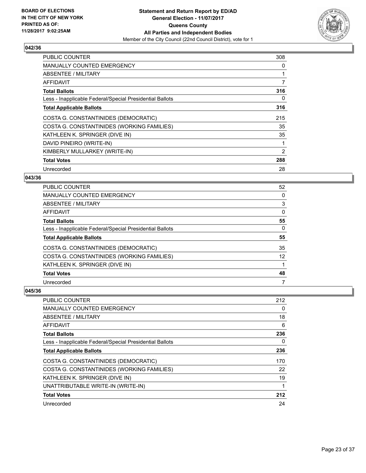

| <b>PUBLIC COUNTER</b>                                    | 308 |
|----------------------------------------------------------|-----|
| <b>MANUALLY COUNTED EMERGENCY</b>                        | 0   |
| ABSENTEE / MILITARY                                      |     |
| AFFIDAVIT                                                | 7   |
| <b>Total Ballots</b>                                     | 316 |
| Less - Inapplicable Federal/Special Presidential Ballots | 0   |
| <b>Total Applicable Ballots</b>                          | 316 |
| COSTA G. CONSTANTINIDES (DEMOCRATIC)                     | 215 |
| COSTA G. CONSTANTINIDES (WORKING FAMILIES)               | 35  |
| KATHLEEN K. SPRINGER (DIVE IN)                           | 35  |
| DAVID PINEIRO (WRITE-IN)                                 | 1   |
| KIMBERLY MULLARKEY (WRITE-IN)                            | 2   |
| <b>Total Votes</b>                                       | 288 |
| Unrecorded                                               | 28  |

#### **043/36**

| PUBLIC COUNTER                                           | 52 |
|----------------------------------------------------------|----|
| <b>MANUALLY COUNTED EMERGENCY</b>                        | 0  |
| ABSENTEE / MILITARY                                      | 3  |
| AFFIDAVIT                                                | 0  |
| <b>Total Ballots</b>                                     | 55 |
| Less - Inapplicable Federal/Special Presidential Ballots | 0  |
| <b>Total Applicable Ballots</b>                          | 55 |
| COSTA G. CONSTANTINIDES (DEMOCRATIC)                     | 35 |
| COSTA G. CONSTANTINIDES (WORKING FAMILIES)               | 12 |
| KATHLEEN K. SPRINGER (DIVE IN)                           |    |
| <b>Total Votes</b>                                       | 48 |
| Unrecorded                                               | 7  |

| PUBLIC COUNTER                                           | 212 |
|----------------------------------------------------------|-----|
| <b>MANUALLY COUNTED EMERGENCY</b>                        | 0   |
| ABSENTEE / MILITARY                                      | 18  |
| AFFIDAVIT                                                | 6   |
| <b>Total Ballots</b>                                     | 236 |
| Less - Inapplicable Federal/Special Presidential Ballots | 0   |
| <b>Total Applicable Ballots</b>                          | 236 |
| COSTA G. CONSTANTINIDES (DEMOCRATIC)                     | 170 |
| COSTA G. CONSTANTINIDES (WORKING FAMILIES)               | 22  |
| KATHLEEN K. SPRINGER (DIVE IN)                           | 19  |
| UNATTRIBUTABLE WRITE-IN (WRITE-IN)                       | 1   |
| <b>Total Votes</b>                                       | 212 |
| Unrecorded                                               | 24  |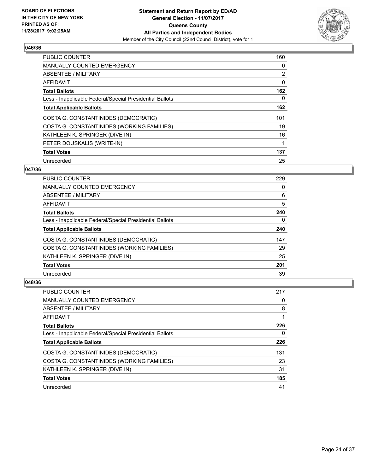

| <b>PUBLIC COUNTER</b>                                    | 160 |
|----------------------------------------------------------|-----|
| <b>MANUALLY COUNTED EMERGENCY</b>                        | 0   |
| ABSENTEE / MILITARY                                      | 2   |
| AFFIDAVIT                                                | 0   |
| <b>Total Ballots</b>                                     | 162 |
| Less - Inapplicable Federal/Special Presidential Ballots | 0   |
| <b>Total Applicable Ballots</b>                          | 162 |
| COSTA G. CONSTANTINIDES (DEMOCRATIC)                     | 101 |
| COSTA G. CONSTANTINIDES (WORKING FAMILIES)               | 19  |
| KATHLEEN K. SPRINGER (DIVE IN)                           | 16  |
| PETER DOUSKALIS (WRITE-IN)                               | 1   |
| <b>Total Votes</b>                                       | 137 |
| Unrecorded                                               | 25  |

# **047/36**

| <b>PUBLIC COUNTER</b>                                    | 229 |
|----------------------------------------------------------|-----|
| <b>MANUALLY COUNTED EMERGENCY</b>                        | 0   |
| ABSENTEE / MILITARY                                      | 6   |
| <b>AFFIDAVIT</b>                                         | 5   |
| <b>Total Ballots</b>                                     | 240 |
| Less - Inapplicable Federal/Special Presidential Ballots | 0   |
| <b>Total Applicable Ballots</b>                          | 240 |
| COSTA G. CONSTANTINIDES (DEMOCRATIC)                     | 147 |
| COSTA G. CONSTANTINIDES (WORKING FAMILIES)               | 29  |
| KATHLEEN K. SPRINGER (DIVE IN)                           | 25  |
| <b>Total Votes</b>                                       | 201 |
| Unrecorded                                               | 39  |

| PUBLIC COUNTER                                           | 217 |
|----------------------------------------------------------|-----|
| <b>MANUALLY COUNTED EMERGENCY</b>                        | 0   |
| ABSENTEE / MILITARY                                      | 8   |
| AFFIDAVIT                                                |     |
| <b>Total Ballots</b>                                     | 226 |
| Less - Inapplicable Federal/Special Presidential Ballots | 0   |
| <b>Total Applicable Ballots</b>                          | 226 |
| COSTA G. CONSTANTINIDES (DEMOCRATIC)                     | 131 |
| COSTA G. CONSTANTINIDES (WORKING FAMILIES)               | 23  |
| KATHLEEN K. SPRINGER (DIVE IN)                           | 31  |
| <b>Total Votes</b>                                       | 185 |
|                                                          |     |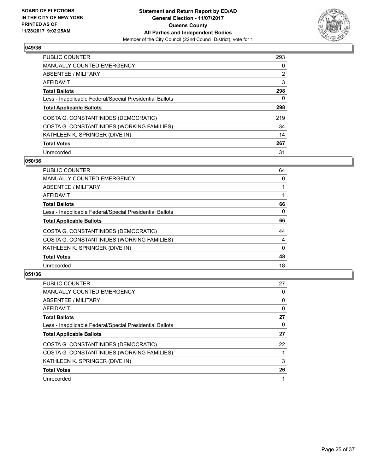

| PUBLIC COUNTER                                           | 293            |
|----------------------------------------------------------|----------------|
| <b>MANUALLY COUNTED EMERGENCY</b>                        | 0              |
| ABSENTEE / MILITARY                                      | $\overline{2}$ |
| AFFIDAVIT                                                | 3              |
| <b>Total Ballots</b>                                     | 298            |
| Less - Inapplicable Federal/Special Presidential Ballots | 0              |
| <b>Total Applicable Ballots</b>                          | 298            |
| COSTA G. CONSTANTINIDES (DEMOCRATIC)                     | 219            |
| COSTA G. CONSTANTINIDES (WORKING FAMILIES)               | 34             |
| KATHLEEN K. SPRINGER (DIVE IN)                           | 14             |
| <b>Total Votes</b>                                       | 267            |
| Unrecorded                                               | 31             |

#### **050/36**

| <b>PUBLIC COUNTER</b>                                    | 64       |
|----------------------------------------------------------|----------|
| <b>MANUALLY COUNTED EMERGENCY</b>                        | 0        |
| ABSENTEE / MILITARY                                      |          |
| AFFIDAVIT                                                |          |
| <b>Total Ballots</b>                                     | 66       |
| Less - Inapplicable Federal/Special Presidential Ballots | $\Omega$ |
| <b>Total Applicable Ballots</b>                          | 66       |
| COSTA G. CONSTANTINIDES (DEMOCRATIC)                     | 44       |
| COSTA G. CONSTANTINIDES (WORKING FAMILIES)               | 4        |
| KATHLEEN K. SPRINGER (DIVE IN)                           | $\Omega$ |
| <b>Total Votes</b>                                       | 48       |
| Unrecorded                                               | 18       |

| PUBLIC COUNTER                                           | 27 |
|----------------------------------------------------------|----|
| <b>MANUALLY COUNTED EMERGENCY</b>                        | 0  |
| ABSENTEE / MILITARY                                      | 0  |
| AFFIDAVIT                                                | 0  |
| <b>Total Ballots</b>                                     | 27 |
| Less - Inapplicable Federal/Special Presidential Ballots | 0  |
| <b>Total Applicable Ballots</b>                          | 27 |
| COSTA G. CONSTANTINIDES (DEMOCRATIC)                     | 22 |
| COSTA G. CONSTANTINIDES (WORKING FAMILIES)               |    |
| KATHLEEN K. SPRINGER (DIVE IN)                           | 3  |
| <b>Total Votes</b>                                       | 26 |
| Unrecorded                                               |    |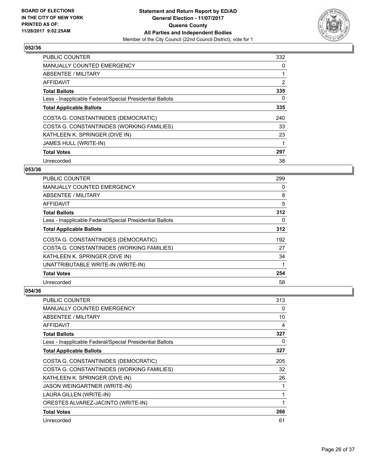

| <b>PUBLIC COUNTER</b>                                    | 332 |
|----------------------------------------------------------|-----|
| <b>MANUALLY COUNTED EMERGENCY</b>                        | 0   |
| ABSENTEE / MILITARY                                      | 1   |
| AFFIDAVIT                                                | 2   |
| <b>Total Ballots</b>                                     | 335 |
| Less - Inapplicable Federal/Special Presidential Ballots | 0   |
| <b>Total Applicable Ballots</b>                          | 335 |
| COSTA G. CONSTANTINIDES (DEMOCRATIC)                     | 240 |
| COSTA G. CONSTANTINIDES (WORKING FAMILIES)               | 33  |
| KATHLEEN K. SPRINGER (DIVE IN)                           | 23  |
| <b>JAMES HULL (WRITE-IN)</b>                             |     |
| <b>Total Votes</b>                                       | 297 |
| Unrecorded                                               | 38  |

#### **053/36**

| PUBLIC COUNTER                                           | 299 |
|----------------------------------------------------------|-----|
| <b>MANUALLY COUNTED EMERGENCY</b>                        | 0   |
| ABSENTEE / MILITARY                                      | 8   |
| <b>AFFIDAVIT</b>                                         | 5   |
| <b>Total Ballots</b>                                     | 312 |
| Less - Inapplicable Federal/Special Presidential Ballots | 0   |
| <b>Total Applicable Ballots</b>                          | 312 |
| COSTA G. CONSTANTINIDES (DEMOCRATIC)                     | 192 |
| COSTA G. CONSTANTINIDES (WORKING FAMILIES)               | 27  |
| KATHLEEN K. SPRINGER (DIVE IN)                           | 34  |
| UNATTRIBUTABLE WRITE-IN (WRITE-IN)                       |     |
| <b>Total Votes</b>                                       | 254 |
| Unrecorded                                               | 58  |

| <b>PUBLIC COUNTER</b>                                    | 313 |
|----------------------------------------------------------|-----|
| <b>MANUALLY COUNTED EMERGENCY</b>                        | 0   |
| <b>ABSENTEE / MILITARY</b>                               | 10  |
| AFFIDAVIT                                                | 4   |
| <b>Total Ballots</b>                                     | 327 |
| Less - Inapplicable Federal/Special Presidential Ballots | 0   |
| <b>Total Applicable Ballots</b>                          | 327 |
| COSTA G. CONSTANTINIDES (DEMOCRATIC)                     | 205 |
| COSTA G. CONSTANTINIDES (WORKING FAMILIES)               | 32  |
| KATHLEEN K. SPRINGER (DIVE IN)                           | 26  |
| JASON WEINGARTNER (WRITE-IN)                             |     |
| LAURA GILLEN (WRITE-IN)                                  | 1   |
| ORESTES ALVAREZ-JACINTO (WRITE-IN)                       |     |
| <b>Total Votes</b>                                       | 266 |
| Unrecorded                                               | 61  |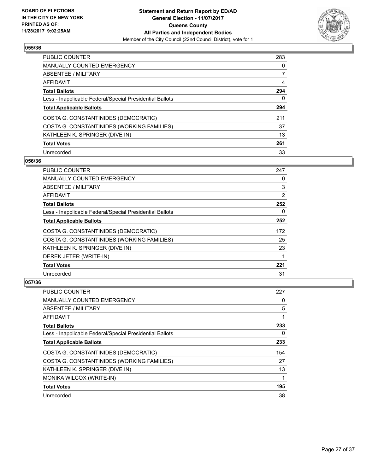

| PUBLIC COUNTER                                           | 283 |
|----------------------------------------------------------|-----|
| <b>MANUALLY COUNTED EMERGENCY</b>                        | 0   |
| ABSENTEE / MILITARY                                      |     |
| AFFIDAVIT                                                | 4   |
| <b>Total Ballots</b>                                     | 294 |
| Less - Inapplicable Federal/Special Presidential Ballots | 0   |
| <b>Total Applicable Ballots</b>                          | 294 |
| COSTA G. CONSTANTINIDES (DEMOCRATIC)                     | 211 |
| COSTA G. CONSTANTINIDES (WORKING FAMILIES)               | 37  |
| KATHLEEN K. SPRINGER (DIVE IN)                           | 13  |
| <b>Total Votes</b>                                       | 261 |
| Unrecorded                                               | 33  |

#### **056/36**

| PUBLIC COUNTER                                           | 247 |
|----------------------------------------------------------|-----|
| <b>MANUALLY COUNTED EMERGENCY</b>                        | 0   |
| ABSENTEE / MILITARY                                      | 3   |
| AFFIDAVIT                                                | 2   |
| <b>Total Ballots</b>                                     | 252 |
| Less - Inapplicable Federal/Special Presidential Ballots | 0   |
| <b>Total Applicable Ballots</b>                          | 252 |
| COSTA G. CONSTANTINIDES (DEMOCRATIC)                     | 172 |
| COSTA G. CONSTANTINIDES (WORKING FAMILIES)               | 25  |
| KATHLEEN K. SPRINGER (DIVE IN)                           | 23  |
| DEREK JETER (WRITE-IN)                                   |     |
| <b>Total Votes</b>                                       | 221 |
| Unrecorded                                               | 31  |

| <b>PUBLIC COUNTER</b>                                    | 227 |
|----------------------------------------------------------|-----|
| <b>MANUALLY COUNTED EMERGENCY</b>                        | 0   |
| ABSENTEE / MILITARY                                      | 5   |
| AFFIDAVIT                                                |     |
| <b>Total Ballots</b>                                     | 233 |
| Less - Inapplicable Federal/Special Presidential Ballots | 0   |
| <b>Total Applicable Ballots</b>                          | 233 |
| COSTA G. CONSTANTINIDES (DEMOCRATIC)                     | 154 |
| COSTA G. CONSTANTINIDES (WORKING FAMILIES)               | 27  |
| KATHLEEN K. SPRINGER (DIVE IN)                           | 13  |
| MONIKA WILCOX (WRITE-IN)                                 |     |
| <b>Total Votes</b>                                       | 195 |
| Unrecorded                                               | 38  |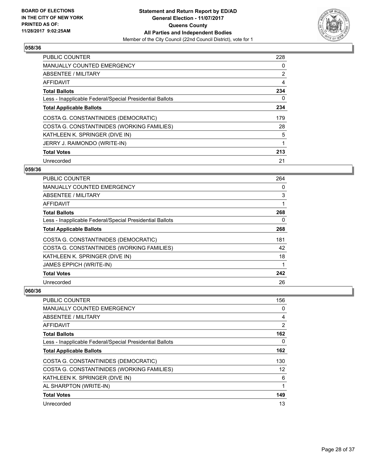

| <b>PUBLIC COUNTER</b>                                    | 228 |
|----------------------------------------------------------|-----|
| <b>MANUALLY COUNTED EMERGENCY</b>                        | 0   |
| ABSENTEE / MILITARY                                      | 2   |
| AFFIDAVIT                                                | 4   |
| <b>Total Ballots</b>                                     | 234 |
| Less - Inapplicable Federal/Special Presidential Ballots | 0   |
| <b>Total Applicable Ballots</b>                          | 234 |
| COSTA G. CONSTANTINIDES (DEMOCRATIC)                     | 179 |
| COSTA G. CONSTANTINIDES (WORKING FAMILIES)               | 28  |
| KATHLEEN K. SPRINGER (DIVE IN)                           | 5   |
| JERRY J. RAIMONDO (WRITE-IN)                             | 1   |
| <b>Total Votes</b>                                       | 213 |
| Unrecorded                                               | 21  |

#### **059/36**

| <b>PUBLIC COUNTER</b>                                    | 264 |
|----------------------------------------------------------|-----|
| MANUALLY COUNTED EMERGENCY                               | 0   |
| ABSENTEE / MILITARY                                      | 3   |
| AFFIDAVIT                                                | 1   |
| <b>Total Ballots</b>                                     | 268 |
| Less - Inapplicable Federal/Special Presidential Ballots | 0   |
| <b>Total Applicable Ballots</b>                          | 268 |
| COSTA G. CONSTANTINIDES (DEMOCRATIC)                     | 181 |
| COSTA G. CONSTANTINIDES (WORKING FAMILIES)               | 42  |
| KATHLEEN K. SPRINGER (DIVE IN)                           | 18  |
| <b>JAMES EPPICH (WRITE-IN)</b>                           | 1   |
| <b>Total Votes</b>                                       | 242 |
| Unrecorded                                               | 26  |

| PUBLIC COUNTER                                           | 156            |
|----------------------------------------------------------|----------------|
| <b>MANUALLY COUNTED EMERGENCY</b>                        | 0              |
| ABSENTEE / MILITARY                                      | 4              |
| AFFIDAVIT                                                | $\overline{2}$ |
| <b>Total Ballots</b>                                     | 162            |
| Less - Inapplicable Federal/Special Presidential Ballots | 0              |
| <b>Total Applicable Ballots</b>                          | 162            |
| COSTA G. CONSTANTINIDES (DEMOCRATIC)                     | 130            |
| COSTA G. CONSTANTINIDES (WORKING FAMILIES)               | 12             |
| KATHLEEN K. SPRINGER (DIVE IN)                           | 6              |
| AL SHARPTON (WRITE-IN)                                   | 1              |
| <b>Total Votes</b>                                       | 149            |
| Unrecorded                                               | 13             |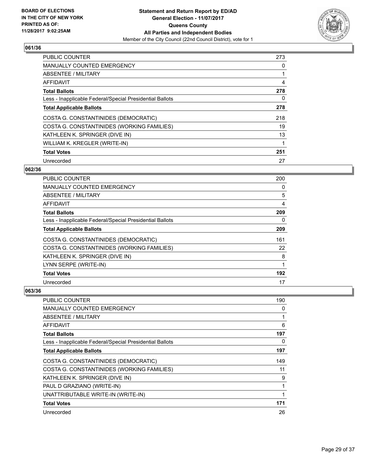

| <b>PUBLIC COUNTER</b>                                    | 273 |
|----------------------------------------------------------|-----|
| <b>MANUALLY COUNTED EMERGENCY</b>                        | 0   |
| ABSENTEE / MILITARY                                      |     |
| AFFIDAVIT                                                | 4   |
| <b>Total Ballots</b>                                     | 278 |
| Less - Inapplicable Federal/Special Presidential Ballots | 0   |
| <b>Total Applicable Ballots</b>                          | 278 |
| COSTA G. CONSTANTINIDES (DEMOCRATIC)                     | 218 |
| COSTA G. CONSTANTINIDES (WORKING FAMILIES)               | 19  |
| KATHLEEN K. SPRINGER (DIVE IN)                           | 13  |
| WILLIAM K. KREGLER (WRITE-IN)                            |     |
| <b>Total Votes</b>                                       | 251 |
| Unrecorded                                               | 27  |

# **062/36**

| <b>PUBLIC COUNTER</b>                                    | 200 |
|----------------------------------------------------------|-----|
| <b>MANUALLY COUNTED EMERGENCY</b>                        | 0   |
| ABSENTEE / MILITARY                                      | 5   |
| AFFIDAVIT                                                | 4   |
| <b>Total Ballots</b>                                     | 209 |
| Less - Inapplicable Federal/Special Presidential Ballots | 0   |
| <b>Total Applicable Ballots</b>                          | 209 |
| COSTA G. CONSTANTINIDES (DEMOCRATIC)                     | 161 |
| COSTA G. CONSTANTINIDES (WORKING FAMILIES)               | 22  |
| KATHLEEN K. SPRINGER (DIVE IN)                           | 8   |
| LYNN SERPE (WRITE-IN)                                    | 1   |
| <b>Total Votes</b>                                       | 192 |
| Unrecorded                                               | 17  |

| <b>PUBLIC COUNTER</b>                                    | 190 |
|----------------------------------------------------------|-----|
| <b>MANUALLY COUNTED EMERGENCY</b>                        | 0   |
| ABSENTEE / MILITARY                                      |     |
| AFFIDAVIT                                                | 6   |
| <b>Total Ballots</b>                                     | 197 |
| Less - Inapplicable Federal/Special Presidential Ballots | 0   |
| <b>Total Applicable Ballots</b>                          | 197 |
| COSTA G. CONSTANTINIDES (DEMOCRATIC)                     | 149 |
| COSTA G. CONSTANTINIDES (WORKING FAMILIES)               | 11  |
| KATHLEEN K. SPRINGER (DIVE IN)                           | 9   |
| PAUL D GRAZIANO (WRITE-IN)                               |     |
| UNATTRIBUTABLE WRITE-IN (WRITE-IN)                       |     |
| <b>Total Votes</b>                                       | 171 |
| Unrecorded                                               | 26  |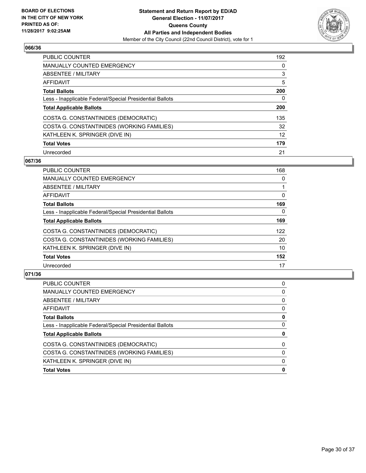

| PUBLIC COUNTER                                           | 192 |
|----------------------------------------------------------|-----|
| <b>MANUALLY COUNTED EMERGENCY</b>                        | 0   |
| ABSENTEE / MILITARY                                      | 3   |
| AFFIDAVIT                                                | 5   |
| <b>Total Ballots</b>                                     | 200 |
| Less - Inapplicable Federal/Special Presidential Ballots | 0   |
| <b>Total Applicable Ballots</b>                          | 200 |
| COSTA G. CONSTANTINIDES (DEMOCRATIC)                     | 135 |
| COSTA G. CONSTANTINIDES (WORKING FAMILIES)               | 32  |
| KATHLEEN K. SPRINGER (DIVE IN)                           | 12  |
| <b>Total Votes</b>                                       | 179 |
| Unrecorded                                               | 21  |

#### **067/36**

| <b>PUBLIC COUNTER</b>                                    | 168      |
|----------------------------------------------------------|----------|
| <b>MANUALLY COUNTED EMERGENCY</b>                        | 0        |
| ABSENTEE / MILITARY                                      |          |
| <b>AFFIDAVIT</b>                                         | 0        |
| <b>Total Ballots</b>                                     | 169      |
| Less - Inapplicable Federal/Special Presidential Ballots | $\Omega$ |
| <b>Total Applicable Ballots</b>                          | 169      |
| COSTA G. CONSTANTINIDES (DEMOCRATIC)                     | 122      |
| COSTA G. CONSTANTINIDES (WORKING FAMILIES)               | 20       |
| KATHLEEN K. SPRINGER (DIVE IN)                           | 10       |
| <b>Total Votes</b>                                       | 152      |
| Unrecorded                                               | 17       |

| 0<br>0<br>0<br>0<br>0<br>0<br>0<br>0<br>0<br>0 | PUBLIC COUNTER                                           | 0 |
|------------------------------------------------|----------------------------------------------------------|---|
|                                                | <b>MANUALLY COUNTED EMERGENCY</b>                        |   |
|                                                | ABSENTEE / MILITARY                                      |   |
|                                                | AFFIDAVIT                                                |   |
|                                                | <b>Total Ballots</b>                                     |   |
|                                                | Less - Inapplicable Federal/Special Presidential Ballots |   |
|                                                | <b>Total Applicable Ballots</b>                          |   |
|                                                | COSTA G. CONSTANTINIDES (DEMOCRATIC)                     |   |
|                                                | COSTA G. CONSTANTINIDES (WORKING FAMILIES)               |   |
|                                                | KATHLEEN K. SPRINGER (DIVE IN)                           |   |
|                                                | <b>Total Votes</b>                                       |   |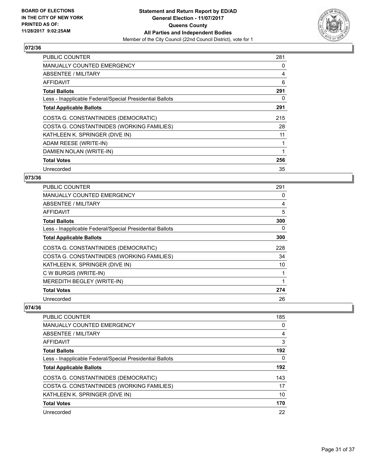

| <b>PUBLIC COUNTER</b>                                    | 281 |
|----------------------------------------------------------|-----|
| <b>MANUALLY COUNTED EMERGENCY</b>                        | 0   |
| <b>ABSENTEE / MILITARY</b>                               | 4   |
| AFFIDAVIT                                                | 6   |
| <b>Total Ballots</b>                                     | 291 |
| Less - Inapplicable Federal/Special Presidential Ballots | 0   |
| <b>Total Applicable Ballots</b>                          | 291 |
| COSTA G. CONSTANTINIDES (DEMOCRATIC)                     | 215 |
| COSTA G. CONSTANTINIDES (WORKING FAMILIES)               | 28  |
| KATHLEEN K. SPRINGER (DIVE IN)                           | 11  |
| ADAM REESE (WRITE-IN)                                    | 1   |
| DAMIEN NOLAN (WRITE-IN)                                  | 1   |
| <b>Total Votes</b>                                       | 256 |
| Unrecorded                                               | 35  |

# **073/36**

| <b>PUBLIC COUNTER</b>                                    | 291 |
|----------------------------------------------------------|-----|
| <b>MANUALLY COUNTED EMERGENCY</b>                        | 0   |
| ABSENTEE / MILITARY                                      | 4   |
| AFFIDAVIT                                                | 5   |
| <b>Total Ballots</b>                                     | 300 |
| Less - Inapplicable Federal/Special Presidential Ballots | 0   |
| <b>Total Applicable Ballots</b>                          | 300 |
| COSTA G. CONSTANTINIDES (DEMOCRATIC)                     | 228 |
| COSTA G. CONSTANTINIDES (WORKING FAMILIES)               | 34  |
| KATHLEEN K. SPRINGER (DIVE IN)                           | 10  |
| C W BURGIS (WRITE-IN)                                    |     |
| MEREDITH BEGLEY (WRITE-IN)                               |     |
| <b>Total Votes</b>                                       | 274 |
| Unrecorded                                               | 26  |

| PUBLIC COUNTER                                           | 185 |
|----------------------------------------------------------|-----|
| <b>MANUALLY COUNTED EMERGENCY</b>                        | 0   |
| ABSENTEE / MILITARY                                      | 4   |
| AFFIDAVIT                                                | 3   |
| <b>Total Ballots</b>                                     | 192 |
| Less - Inapplicable Federal/Special Presidential Ballots | 0   |
| <b>Total Applicable Ballots</b>                          | 192 |
| COSTA G. CONSTANTINIDES (DEMOCRATIC)                     | 143 |
| COSTA G. CONSTANTINIDES (WORKING FAMILIES)               | 17  |
| KATHLEEN K. SPRINGER (DIVE IN)                           | 10  |
| <b>Total Votes</b>                                       | 170 |
| Unrecorded                                               | 22  |
|                                                          |     |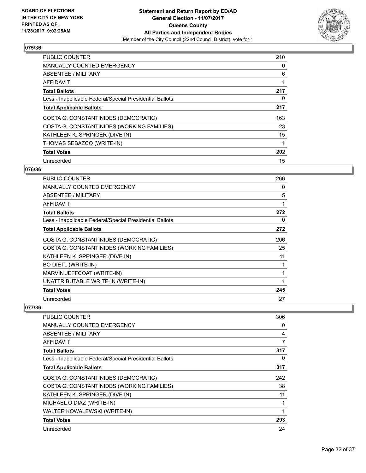

| <b>PUBLIC COUNTER</b>                                    | 210 |
|----------------------------------------------------------|-----|
| <b>MANUALLY COUNTED EMERGENCY</b>                        | 0   |
| ABSENTEE / MILITARY                                      | 6   |
| AFFIDAVIT                                                |     |
| <b>Total Ballots</b>                                     | 217 |
| Less - Inapplicable Federal/Special Presidential Ballots | 0   |
| <b>Total Applicable Ballots</b>                          | 217 |
| COSTA G. CONSTANTINIDES (DEMOCRATIC)                     | 163 |
| COSTA G. CONSTANTINIDES (WORKING FAMILIES)               | 23  |
| KATHLEEN K. SPRINGER (DIVE IN)                           | 15  |
| THOMAS SEBAZCO (WRITE-IN)                                | 1   |
| <b>Total Votes</b>                                       | 202 |
| Unrecorded                                               | 15  |

# **076/36**

| <b>PUBLIC COUNTER</b>                                    | 266 |
|----------------------------------------------------------|-----|
| <b>MANUALLY COUNTED EMERGENCY</b>                        | 0   |
| ABSENTEE / MILITARY                                      | 5   |
| AFFIDAVIT                                                | 1   |
| <b>Total Ballots</b>                                     | 272 |
| Less - Inapplicable Federal/Special Presidential Ballots | 0   |
| <b>Total Applicable Ballots</b>                          | 272 |
| COSTA G. CONSTANTINIDES (DEMOCRATIC)                     | 206 |
| COSTA G. CONSTANTINIDES (WORKING FAMILIES)               | 25  |
| KATHLEEN K. SPRINGER (DIVE IN)                           | 11  |
| <b>BO DIETL (WRITE-IN)</b>                               | 1   |
| MARVIN JEFFCOAT (WRITE-IN)                               | 1   |
| UNATTRIBUTABLE WRITE-IN (WRITE-IN)                       | 1   |
| <b>Total Votes</b>                                       | 245 |
| Unrecorded                                               | 27  |

| <b>PUBLIC COUNTER</b>                                    | 306 |
|----------------------------------------------------------|-----|
| <b>MANUALLY COUNTED EMERGENCY</b>                        | 0   |
| <b>ABSENTEE / MILITARY</b>                               | 4   |
| AFFIDAVIT                                                | 7   |
| <b>Total Ballots</b>                                     | 317 |
| Less - Inapplicable Federal/Special Presidential Ballots | 0   |
| <b>Total Applicable Ballots</b>                          | 317 |
| COSTA G. CONSTANTINIDES (DEMOCRATIC)                     | 242 |
| COSTA G. CONSTANTINIDES (WORKING FAMILIES)               | 38  |
| KATHLEEN K. SPRINGER (DIVE IN)                           | 11  |
| MICHAEL O DIAZ (WRITE-IN)                                |     |
| WALTER KOWALEWSKI (WRITE-IN)                             |     |
| <b>Total Votes</b>                                       | 293 |
| Unrecorded                                               | 24  |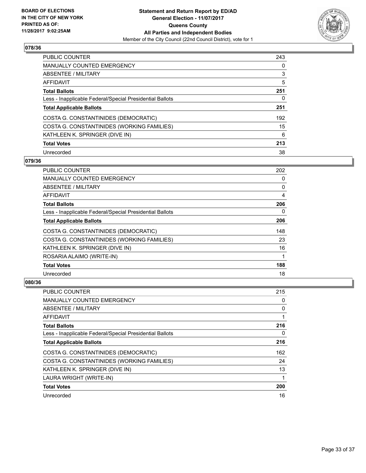

| <b>PUBLIC COUNTER</b>                                    | 243 |
|----------------------------------------------------------|-----|
| <b>MANUALLY COUNTED EMERGENCY</b>                        | 0   |
| ABSENTEE / MILITARY                                      | 3   |
| AFFIDAVIT                                                | 5   |
| <b>Total Ballots</b>                                     | 251 |
| Less - Inapplicable Federal/Special Presidential Ballots | 0   |
| <b>Total Applicable Ballots</b>                          | 251 |
| COSTA G. CONSTANTINIDES (DEMOCRATIC)                     | 192 |
| COSTA G. CONSTANTINIDES (WORKING FAMILIES)               | 15  |
| KATHLEEN K. SPRINGER (DIVE IN)                           | 6   |
| <b>Total Votes</b>                                       | 213 |
| Unrecorded                                               | 38  |

#### **079/36**

| <b>PUBLIC COUNTER</b>                                    | 202 |
|----------------------------------------------------------|-----|
| <b>MANUALLY COUNTED EMERGENCY</b>                        | 0   |
| ABSENTEE / MILITARY                                      | 0   |
| AFFIDAVIT                                                | 4   |
| <b>Total Ballots</b>                                     | 206 |
| Less - Inapplicable Federal/Special Presidential Ballots | 0   |
| <b>Total Applicable Ballots</b>                          | 206 |
| COSTA G. CONSTANTINIDES (DEMOCRATIC)                     | 148 |
| COSTA G. CONSTANTINIDES (WORKING FAMILIES)               | 23  |
| KATHLEEN K. SPRINGER (DIVE IN)                           | 16  |
| ROSARIA ALAIMO (WRITE-IN)                                |     |
| <b>Total Votes</b>                                       | 188 |
| Unrecorded                                               | 18  |

| PUBLIC COUNTER                                           | 215 |
|----------------------------------------------------------|-----|
| <b>MANUALLY COUNTED EMERGENCY</b>                        | 0   |
| ABSENTEE / MILITARY                                      | 0   |
| AFFIDAVIT                                                |     |
| <b>Total Ballots</b>                                     | 216 |
| Less - Inapplicable Federal/Special Presidential Ballots | 0   |
| <b>Total Applicable Ballots</b>                          | 216 |
| COSTA G. CONSTANTINIDES (DEMOCRATIC)                     | 162 |
| COSTA G. CONSTANTINIDES (WORKING FAMILIES)               | 24  |
| KATHLEEN K. SPRINGER (DIVE IN)                           | 13  |
| LAURA WRIGHT (WRITE-IN)                                  | 1   |
| <b>Total Votes</b>                                       | 200 |
| Unrecorded                                               | 16  |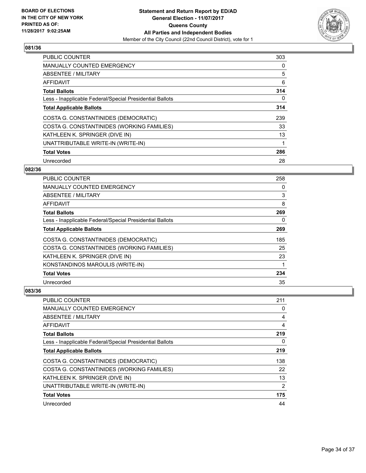

| <b>PUBLIC COUNTER</b>                                    | 303 |
|----------------------------------------------------------|-----|
| <b>MANUALLY COUNTED EMERGENCY</b>                        | 0   |
| ABSENTEE / MILITARY                                      | 5   |
| AFFIDAVIT                                                | 6   |
| <b>Total Ballots</b>                                     | 314 |
| Less - Inapplicable Federal/Special Presidential Ballots | 0   |
| <b>Total Applicable Ballots</b>                          | 314 |
| COSTA G. CONSTANTINIDES (DEMOCRATIC)                     | 239 |
| COSTA G. CONSTANTINIDES (WORKING FAMILIES)               | 33  |
| KATHLEEN K. SPRINGER (DIVE IN)                           | 13  |
| UNATTRIBUTABLE WRITE-IN (WRITE-IN)                       | 1   |
| <b>Total Votes</b>                                       | 286 |
| Unrecorded                                               | 28  |

#### **082/36**

| PUBLIC COUNTER                                           | 258 |
|----------------------------------------------------------|-----|
| MANUALLY COUNTED EMERGENCY                               | 0   |
| ABSENTEE / MILITARY                                      | 3   |
| AFFIDAVIT                                                | 8   |
| <b>Total Ballots</b>                                     | 269 |
| Less - Inapplicable Federal/Special Presidential Ballots | 0   |
| <b>Total Applicable Ballots</b>                          | 269 |
| COSTA G. CONSTANTINIDES (DEMOCRATIC)                     | 185 |
| COSTA G. CONSTANTINIDES (WORKING FAMILIES)               | 25  |
| KATHLEEN K. SPRINGER (DIVE IN)                           | 23  |
| KONSTANDINOS MAROULIS (WRITE-IN)                         |     |
| <b>Total Votes</b>                                       | 234 |
| Unrecorded                                               | 35  |

| <b>PUBLIC COUNTER</b>                                    | 211            |
|----------------------------------------------------------|----------------|
| <b>MANUALLY COUNTED EMERGENCY</b>                        | 0              |
| ABSENTEE / MILITARY                                      | 4              |
| AFFIDAVIT                                                | 4              |
| <b>Total Ballots</b>                                     | 219            |
| Less - Inapplicable Federal/Special Presidential Ballots | 0              |
| <b>Total Applicable Ballots</b>                          | 219            |
| COSTA G. CONSTANTINIDES (DEMOCRATIC)                     | 138            |
| COSTA G. CONSTANTINIDES (WORKING FAMILIES)               | 22             |
| KATHLEEN K. SPRINGER (DIVE IN)                           | 13             |
| UNATTRIBUTABLE WRITE-IN (WRITE-IN)                       | $\overline{2}$ |
| <b>Total Votes</b>                                       | 175            |
| Unrecorded                                               | 44             |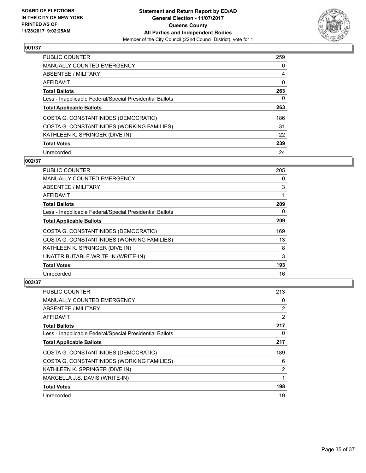

| PUBLIC COUNTER                                           | 259 |
|----------------------------------------------------------|-----|
| <b>MANUALLY COUNTED EMERGENCY</b>                        | 0   |
| ABSENTEE / MILITARY                                      | 4   |
| AFFIDAVIT                                                | 0   |
| <b>Total Ballots</b>                                     | 263 |
| Less - Inapplicable Federal/Special Presidential Ballots | 0   |
| <b>Total Applicable Ballots</b>                          | 263 |
| COSTA G. CONSTANTINIDES (DEMOCRATIC)                     | 186 |
| COSTA G. CONSTANTINIDES (WORKING FAMILIES)               | 31  |
| KATHLEEN K. SPRINGER (DIVE IN)                           | 22  |
| <b>Total Votes</b>                                       | 239 |
| Unrecorded                                               | 24  |

# **002/37**

| <b>PUBLIC COUNTER</b>                                    | 205 |
|----------------------------------------------------------|-----|
| <b>MANUALLY COUNTED EMERGENCY</b>                        | 0   |
| ABSENTEE / MILITARY                                      | 3   |
| AFFIDAVIT                                                | 1   |
| <b>Total Ballots</b>                                     | 209 |
| Less - Inapplicable Federal/Special Presidential Ballots | 0   |
| <b>Total Applicable Ballots</b>                          | 209 |
| COSTA G. CONSTANTINIDES (DEMOCRATIC)                     | 169 |
| COSTA G. CONSTANTINIDES (WORKING FAMILIES)               | 13  |
| KATHLEEN K. SPRINGER (DIVE IN)                           | 8   |
| UNATTRIBUTABLE WRITE-IN (WRITE-IN)                       | 3   |
| <b>Total Votes</b>                                       | 193 |
| Unrecorded                                               | 16  |

| PUBLIC COUNTER                                           | 213            |
|----------------------------------------------------------|----------------|
| <b>MANUALLY COUNTED EMERGENCY</b>                        | 0              |
| ABSENTEE / MILITARY                                      | 2              |
| AFFIDAVIT                                                | $\overline{2}$ |
| <b>Total Ballots</b>                                     | 217            |
| Less - Inapplicable Federal/Special Presidential Ballots | 0              |
| <b>Total Applicable Ballots</b>                          | 217            |
| COSTA G. CONSTANTINIDES (DEMOCRATIC)                     | 189            |
| COSTA G. CONSTANTINIDES (WORKING FAMILIES)               | 6              |
| KATHLEEN K. SPRINGER (DIVE IN)                           | 2              |
| MARCELLA J.S. DAVIS (WRITE-IN)                           | 1              |
| <b>Total Votes</b>                                       | 198            |
| Unrecorded                                               | 19             |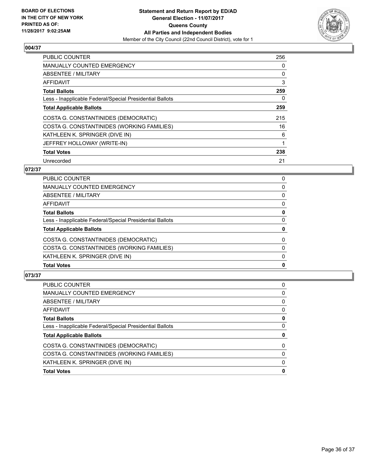

| <b>PUBLIC COUNTER</b>                                    | 256 |
|----------------------------------------------------------|-----|
| <b>MANUALLY COUNTED EMERGENCY</b>                        | 0   |
| ABSENTEE / MILITARY                                      | 0   |
| AFFIDAVIT                                                | 3   |
| <b>Total Ballots</b>                                     | 259 |
| Less - Inapplicable Federal/Special Presidential Ballots | 0   |
| <b>Total Applicable Ballots</b>                          | 259 |
| COSTA G. CONSTANTINIDES (DEMOCRATIC)                     | 215 |
| COSTA G. CONSTANTINIDES (WORKING FAMILIES)               | 16  |
| KATHLEEN K. SPRINGER (DIVE IN)                           | 6   |
| JEFFREY HOLLOWAY (WRITE-IN)                              |     |
| <b>Total Votes</b>                                       | 238 |
| Unrecorded                                               | 21  |

# **072/37**

| KATHLEEN K. SPRINGER (DIVE IN)                           | 0<br>0   |
|----------------------------------------------------------|----------|
| COSTA G. CONSTANTINIDES (WORKING FAMILIES)               | $\Omega$ |
| COSTA G. CONSTANTINIDES (DEMOCRATIC)                     | 0        |
| <b>Total Applicable Ballots</b>                          | 0        |
| Less - Inapplicable Federal/Special Presidential Ballots | 0        |
| <b>Total Ballots</b>                                     | 0        |
| <b>AFFIDAVIT</b>                                         | 0        |
| <b>ABSENTEE / MILITARY</b>                               | 0        |
| <b>MANUALLY COUNTED EMERGENCY</b>                        | 0        |
| <b>PUBLIC COUNTER</b>                                    | 0        |

| 0<br>0<br>0<br>0<br>0<br>0<br>0<br>0<br>0<br>0 | PUBLIC COUNTER                                           | 0 |
|------------------------------------------------|----------------------------------------------------------|---|
|                                                | <b>MANUALLY COUNTED EMERGENCY</b>                        |   |
|                                                | ABSENTEE / MILITARY                                      |   |
|                                                | AFFIDAVIT                                                |   |
|                                                | <b>Total Ballots</b>                                     |   |
|                                                | Less - Inapplicable Federal/Special Presidential Ballots |   |
|                                                | <b>Total Applicable Ballots</b>                          |   |
|                                                | COSTA G. CONSTANTINIDES (DEMOCRATIC)                     |   |
|                                                | COSTA G. CONSTANTINIDES (WORKING FAMILIES)               |   |
|                                                | KATHLEEN K. SPRINGER (DIVE IN)                           |   |
|                                                | <b>Total Votes</b>                                       |   |